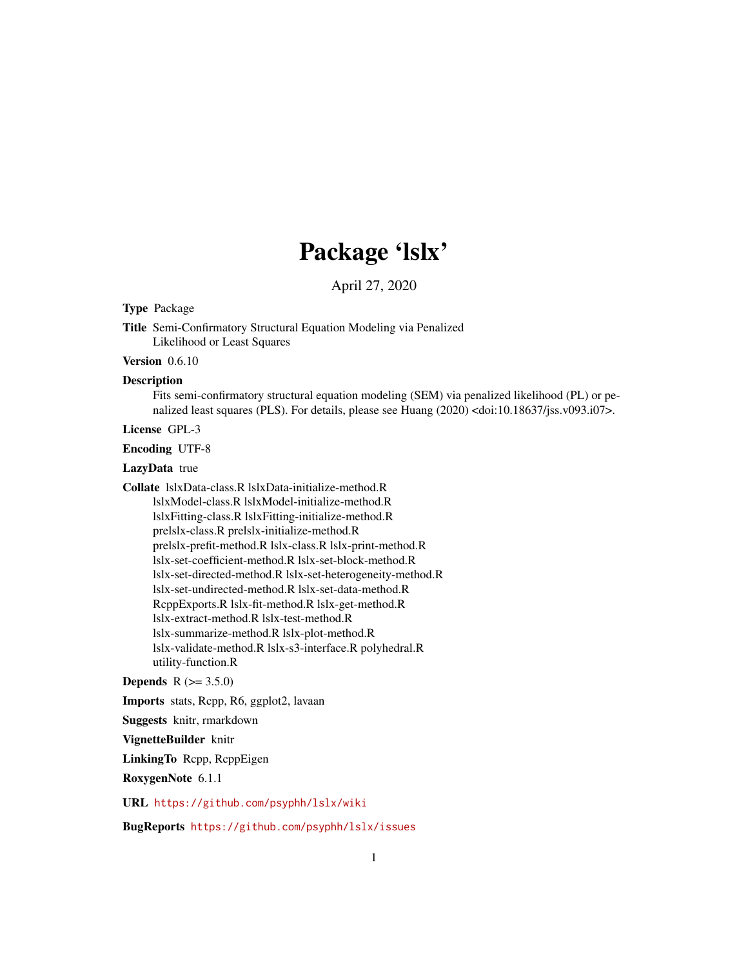# Package 'lslx'

April 27, 2020

Type Package

Title Semi-Confirmatory Structural Equation Modeling via Penalized Likelihood or Least Squares

Version 0.6.10

#### **Description**

Fits semi-confirmatory structural equation modeling (SEM) via penalized likelihood (PL) or penalized least squares (PLS). For details, please see Huang (2020) <doi:10.18637/jss.v093.i07>.

License GPL-3

Encoding UTF-8

LazyData true

Collate lslxData-class.R lslxData-initialize-method.R lslxModel-class.R lslxModel-initialize-method.R lslxFitting-class.R lslxFitting-initialize-method.R prelslx-class.R prelslx-initialize-method.R prelslx-prefit-method.R lslx-class.R lslx-print-method.R lslx-set-coefficient-method.R lslx-set-block-method.R lslx-set-directed-method.R lslx-set-heterogeneity-method.R lslx-set-undirected-method.R lslx-set-data-method.R RcppExports.R lslx-fit-method.R lslx-get-method.R lslx-extract-method.R lslx-test-method.R lslx-summarize-method.R lslx-plot-method.R lslx-validate-method.R lslx-s3-interface.R polyhedral.R utility-function.R

**Depends** R  $(>= 3.5.0)$ 

Imports stats, Rcpp, R6, ggplot2, lavaan

Suggests knitr, rmarkdown

VignetteBuilder knitr

LinkingTo Rcpp, RcppEigen

RoxygenNote 6.1.1

URL <https://github.com/psyphh/lslx/wiki>

BugReports <https://github.com/psyphh/lslx/issues>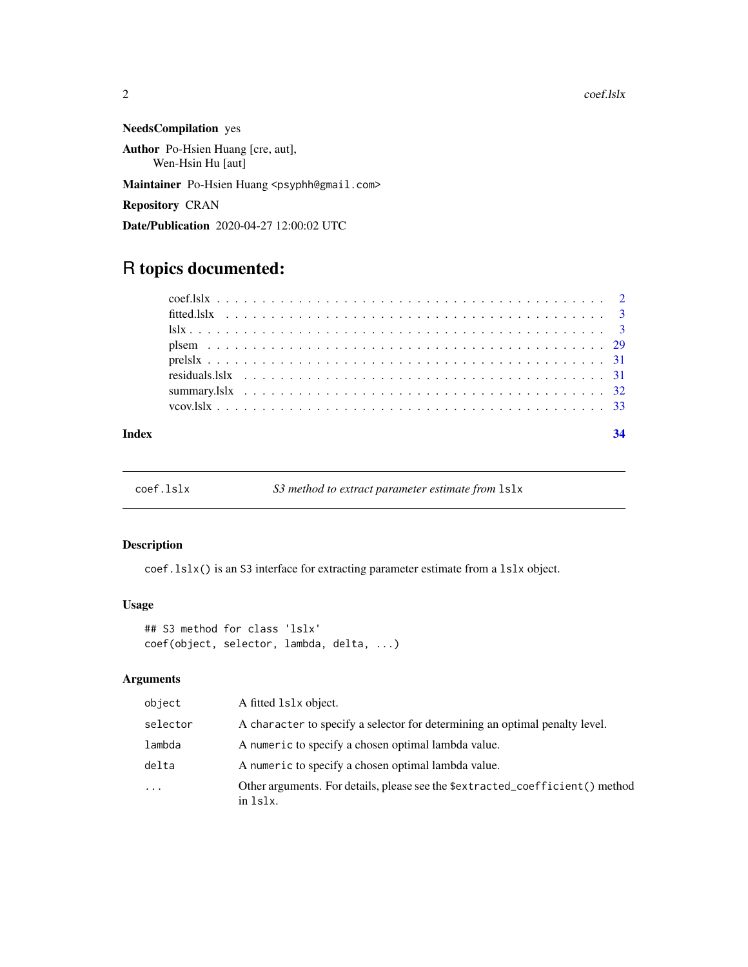<span id="page-1-0"></span>NeedsCompilation yes Author Po-Hsien Huang [cre, aut], Wen-Hsin Hu [aut]

Maintainer Po-Hsien Huang <psyphh@gmail.com>

Repository CRAN

Date/Publication 2020-04-27 12:00:02 UTC

# R topics documented:

| Index |  |  |  |  |  |  |
|-------|--|--|--|--|--|--|
|       |  |  |  |  |  |  |
|       |  |  |  |  |  |  |
|       |  |  |  |  |  |  |
|       |  |  |  |  |  |  |
|       |  |  |  |  |  |  |
|       |  |  |  |  |  |  |
|       |  |  |  |  |  |  |
|       |  |  |  |  |  |  |

coef.lslx *S3 method to extract parameter estimate from* lslx

### Description

coef.lslx() is an S3 interface for extracting parameter estimate from a lslx object.

# Usage

```
## S3 method for class 'lslx'
coef(object, selector, lambda, delta, ...)
```

| object   | A fitted 1s1x object.                                                                     |
|----------|-------------------------------------------------------------------------------------------|
| selector | A character to specify a selector for determining an optimal penalty level.               |
| lambda   | A numeric to specify a chosen optimal lambda value.                                       |
| delta    | A numeric to specify a chosen optimal lambda value.                                       |
| $\ddots$ | Other arguments. For details, please see the \$extracted_coefficient() method<br>in 1s1x. |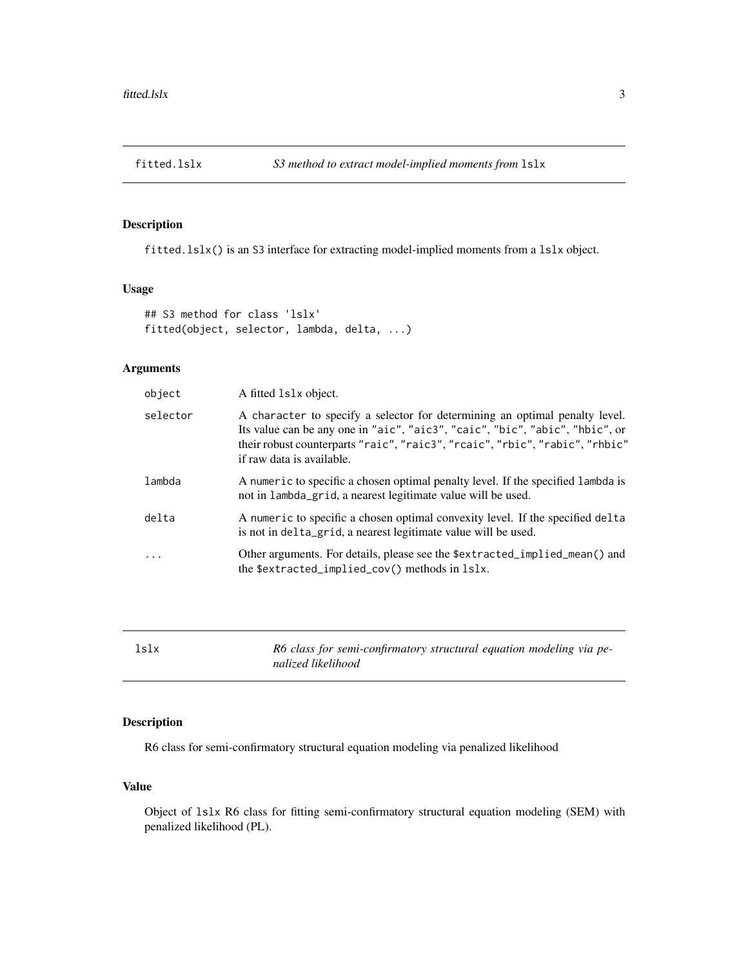<span id="page-2-0"></span>

#### Description

fitted.lslx() is an S3 interface for extracting model-implied moments from a lslx object.

#### Usage

```
## S3 method for class 'lslx'
fitted(object, selector, lambda, delta, ...)
```
#### Arguments

| object     | A fitted 1s1x object.                                                                                                                                                                                                                                                    |
|------------|--------------------------------------------------------------------------------------------------------------------------------------------------------------------------------------------------------------------------------------------------------------------------|
| selector   | A character to specify a selector for determining an optimal penalty level.<br>Its value can be any one in "aic", "aic3", "caic", "bic", "abic", "hbic", or<br>their robust counterparts "raic", "raic3", "rcaic", "rbic", "rabic", "rhbic"<br>if raw data is available. |
| lambda     | A numeric to specific a chosen optimal penalty level. If the specified lambda is<br>not in lambda_grid, a nearest legitimate value will be used.                                                                                                                         |
| delta      | A numeric to specific a chosen optimal convexity level. If the specified delta<br>is not in delta_grid, a nearest legitimate value will be used.                                                                                                                         |
| $\ddots$ . | Other arguments. For details, please see the \$extracted_implied_mean() and<br>the \$extracted_implied_cov() methods in 1s1x.                                                                                                                                            |
|            |                                                                                                                                                                                                                                                                          |

| lslx | R6 class for semi-confirmatory structural equation modeling via pe- |
|------|---------------------------------------------------------------------|
|      | nalized likelihood                                                  |

#### Description

R6 class for semi-confirmatory structural equation modeling via penalized likelihood

#### Value

Object of lslx R6 class for fitting semi-confirmatory structural equation modeling (SEM) with penalized likelihood (PL).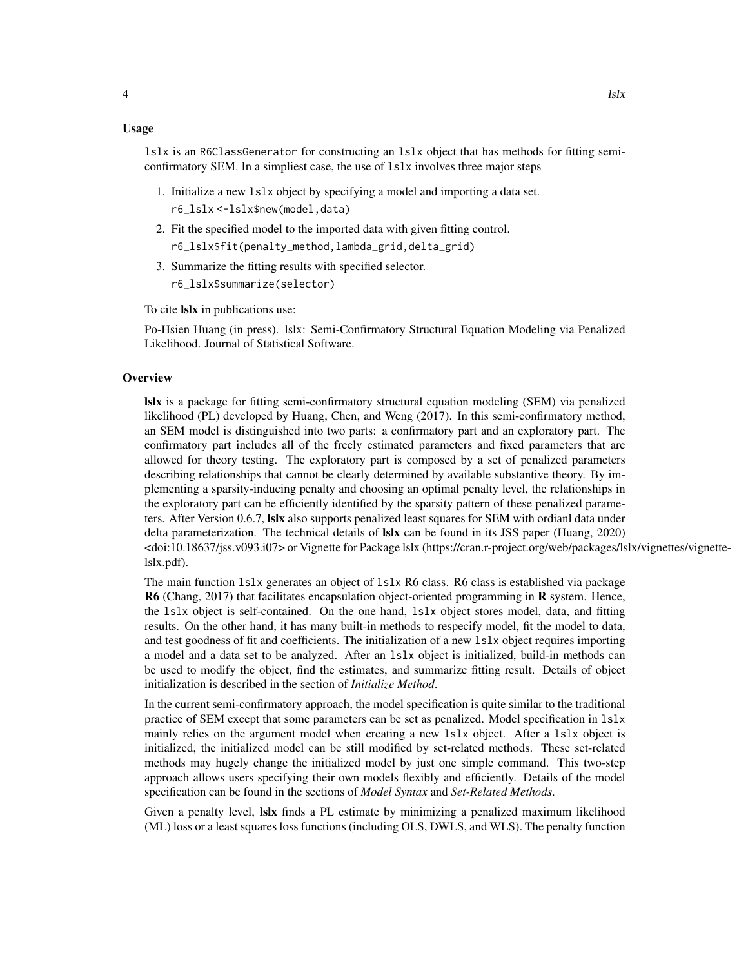#### Usage

lslx is an R6ClassGenerator for constructing an lslx object that has methods for fitting semiconfirmatory SEM. In a simpliest case, the use of lslx involves three major steps

- 1. Initialize a new lslx object by specifying a model and importing a data set. r6\_lslx <-lslx\$new(model,data)
- 2. Fit the specified model to the imported data with given fitting control.
	- r6\_lslx\$fit(penalty\_method,lambda\_grid,delta\_grid)
- 3. Summarize the fitting results with specified selector. r6\_lslx\$summarize(selector)

To cite lslx in publications use:

Po-Hsien Huang (in press). lslx: Semi-Confirmatory Structural Equation Modeling via Penalized Likelihood. Journal of Statistical Software.

#### **Overview**

lslx is a package for fitting semi-confirmatory structural equation modeling (SEM) via penalized likelihood (PL) developed by Huang, Chen, and Weng (2017). In this semi-confirmatory method, an SEM model is distinguished into two parts: a confirmatory part and an exploratory part. The confirmatory part includes all of the freely estimated parameters and fixed parameters that are allowed for theory testing. The exploratory part is composed by a set of penalized parameters describing relationships that cannot be clearly determined by available substantive theory. By implementing a sparsity-inducing penalty and choosing an optimal penalty level, the relationships in the exploratory part can be efficiently identified by the sparsity pattern of these penalized parameters. After Version 0.6.7, **Islx** also supports penalized least squares for SEM with ordianl data under delta parameterization. The technical details of **Islx** can be found in its JSS paper (Huang, 2020) <doi:10.18637/jss.v093.i07> or Vignette for Package lslx (https://cran.r-project.org/web/packages/lslx/vignettes/vignettelslx.pdf).

The main function lslx generates an object of lslx R6 class. R6 class is established via package R6 (Chang, 2017) that facilitates encapsulation object-oriented programming in R system. Hence, the lslx object is self-contained. On the one hand, lslx object stores model, data, and fitting results. On the other hand, it has many built-in methods to respecify model, fit the model to data, and test goodness of fit and coefficients. The initialization of a new lslx object requires importing a model and a data set to be analyzed. After an lslx object is initialized, build-in methods can be used to modify the object, find the estimates, and summarize fitting result. Details of object initialization is described in the section of *Initialize Method*.

In the current semi-confirmatory approach, the model specification is quite similar to the traditional practice of SEM except that some parameters can be set as penalized. Model specification in lslx mainly relies on the argument model when creating a new lslx object. After a lslx object is initialized, the initialized model can be still modified by set-related methods. These set-related methods may hugely change the initialized model by just one simple command. This two-step approach allows users specifying their own models flexibly and efficiently. Details of the model specification can be found in the sections of *Model Syntax* and *Set-Related Methods*.

Given a penalty level, **Islx** finds a PL estimate by minimizing a penalized maximum likelihood (ML) loss or a least squares loss functions (including OLS, DWLS, and WLS). The penalty function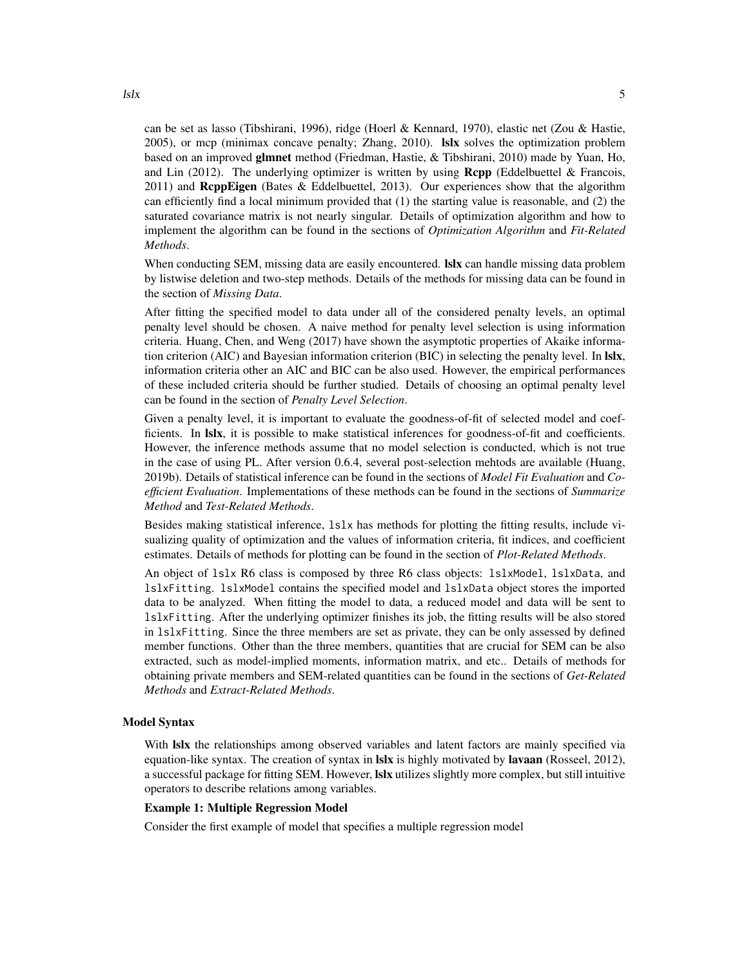can be set as lasso (Tibshirani, 1996), ridge (Hoerl & Kennard, 1970), elastic net (Zou & Hastie, 2005), or mcp (minimax concave penalty; Zhang, 2010). lslx solves the optimization problem based on an improved glmnet method (Friedman, Hastie, & Tibshirani, 2010) made by Yuan, Ho, and Lin (2012). The underlying optimizer is written by using  $\mathbf{Rcpp}$  (Eddelbuettel & Francois, 2011) and ReppEigen (Bates & Eddelbuettel, 2013). Our experiences show that the algorithm can efficiently find a local minimum provided that (1) the starting value is reasonable, and (2) the saturated covariance matrix is not nearly singular. Details of optimization algorithm and how to implement the algorithm can be found in the sections of *Optimization Algorithm* and *Fit-Related Methods*.

When conducting SEM, missing data are easily encountered. **Islx** can handle missing data problem by listwise deletion and two-step methods. Details of the methods for missing data can be found in the section of *Missing Data*.

After fitting the specified model to data under all of the considered penalty levels, an optimal penalty level should be chosen. A naive method for penalty level selection is using information criteria. Huang, Chen, and Weng (2017) have shown the asymptotic properties of Akaike information criterion (AIC) and Bayesian information criterion (BIC) in selecting the penalty level. In Islx, information criteria other an AIC and BIC can be also used. However, the empirical performances of these included criteria should be further studied. Details of choosing an optimal penalty level can be found in the section of *Penalty Level Selection*.

Given a penalty level, it is important to evaluate the goodness-of-fit of selected model and coefficients. In lslx, it is possible to make statistical inferences for goodness-of-fit and coefficients. However, the inference methods assume that no model selection is conducted, which is not true in the case of using PL. After version 0.6.4, several post-selection mehtods are available (Huang, 2019b). Details of statistical inference can be found in the sections of *Model Fit Evaluation* and *Coefficient Evaluation*. Implementations of these methods can be found in the sections of *Summarize Method* and *Test-Related Methods*.

Besides making statistical inference, lslx has methods for plotting the fitting results, include visualizing quality of optimization and the values of information criteria, fit indices, and coefficient estimates. Details of methods for plotting can be found in the section of *Plot-Related Methods*.

An object of lslx R6 class is composed by three R6 class objects: lslxModel, lslxData, and lslxFitting. lslxModel contains the specified model and lslxData object stores the imported data to be analyzed. When fitting the model to data, a reduced model and data will be sent to lslxFitting. After the underlying optimizer finishes its job, the fitting results will be also stored in lslxFitting. Since the three members are set as private, they can be only assessed by defined member functions. Other than the three members, quantities that are crucial for SEM can be also extracted, such as model-implied moments, information matrix, and etc.. Details of methods for obtaining private members and SEM-related quantities can be found in the sections of *Get-Related Methods* and *Extract-Related Methods*.

#### Model Syntax

With lslx the relationships among observed variables and latent factors are mainly specified via equation-like syntax. The creation of syntax in **Islx** is highly motivated by **lavaan** (Rosseel, 2012), a successful package for fitting SEM. However, **Islx** utilizes slightly more complex, but still intuitive operators to describe relations among variables.

## Example 1: Multiple Regression Model

Consider the first example of model that specifies a multiple regression model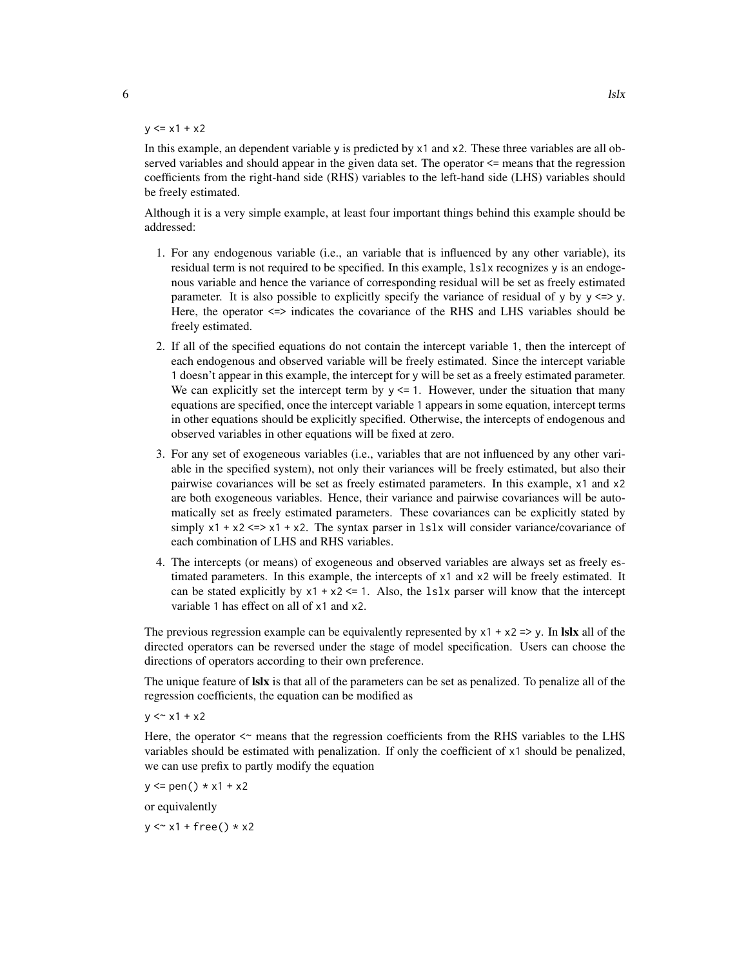#### $y \le x1 + x2$

In this example, an dependent variable y is predicted by x1 and x2. These three variables are all observed variables and should appear in the given data set. The operator <= means that the regression coefficients from the right-hand side (RHS) variables to the left-hand side (LHS) variables should be freely estimated.

Although it is a very simple example, at least four important things behind this example should be addressed:

- 1. For any endogenous variable (i.e., an variable that is influenced by any other variable), its residual term is not required to be specified. In this example, lslx recognizes y is an endogenous variable and hence the variance of corresponding residual will be set as freely estimated parameter. It is also possible to explicitly specify the variance of residual of y by  $y \le y$ . Here, the operator <=> indicates the covariance of the RHS and LHS variables should be freely estimated.
- 2. If all of the specified equations do not contain the intercept variable 1, then the intercept of each endogenous and observed variable will be freely estimated. Since the intercept variable 1 doesn't appear in this example, the intercept for y will be set as a freely estimated parameter. We can explicitly set the intercept term by  $y \le 1$ . However, under the situation that many equations are specified, once the intercept variable 1 appears in some equation, intercept terms in other equations should be explicitly specified. Otherwise, the intercepts of endogenous and observed variables in other equations will be fixed at zero.
- 3. For any set of exogeneous variables (i.e., variables that are not influenced by any other variable in the specified system), not only their variances will be freely estimated, but also their pairwise covariances will be set as freely estimated parameters. In this example, x1 and x2 are both exogeneous variables. Hence, their variance and pairwise covariances will be automatically set as freely estimated parameters. These covariances can be explicitly stated by simply  $x1 + x2 \le x1 + x2$ . The syntax parser in 1s1x will consider variance/covariance of each combination of LHS and RHS variables.
- 4. The intercepts (or means) of exogeneous and observed variables are always set as freely estimated parameters. In this example, the intercepts of x1 and x2 will be freely estimated. It can be stated explicitly by  $x1 + x2 \le 1$ . Also, the 1s1x parser will know that the intercept variable 1 has effect on all of x1 and x2.

The previous regression example can be equivalently represented by  $x1 + x2 \Rightarrow y$ . In lslx all of the directed operators can be reversed under the stage of model specification. Users can choose the directions of operators according to their own preference.

The unique feature of **Islx** is that all of the parameters can be set as penalized. To penalize all of the regression coefficients, the equation can be modified as

 $y \leq x_1 + x_2$ 

Here, the operator  $\leq$  means that the regression coefficients from the RHS variables to the LHS variables should be estimated with penalization. If only the coefficient of x1 should be penalized, we can use prefix to partly modify the equation

 $y \leq$  pen()  $* x1 + x2$ 

or equivalently

 $y \le x1 + free() * x2$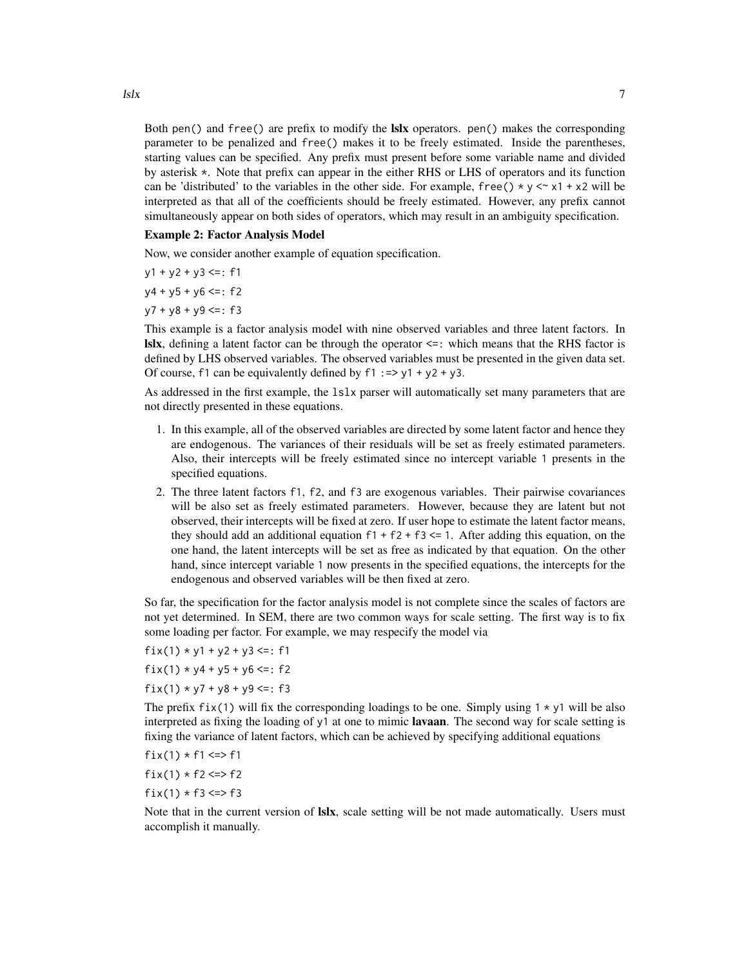Both pen() and free() are prefix to modify the **lslx** operators. pen() makes the corresponding parameter to be penalized and free() makes it to be freely estimated. Inside the parentheses, starting values can be specified. Any prefix must present before some variable name and divided by asterisk \*. Note that prefix can appear in the either RHS or LHS of operators and its function can be 'distributed' to the variables in the other side. For example, free()  $\star$  y  $\lt \sim$  x1 + x2 will be interpreted as that all of the coefficients should be freely estimated. However, any prefix cannot simultaneously appear on both sides of operators, which may result in an ambiguity specification.

#### Example 2: Factor Analysis Model

Now, we consider another example of equation specification.

$$
y1 + y2 + y3 \leq z
$$

- $y4 + y5 + y6 \leq z$ : f2
- $y7 + y8 + y9 \leq z$ : f3

This example is a factor analysis model with nine observed variables and three latent factors. In **lslx**, defining a latent factor can be through the operator  $\leq$ : which means that the RHS factor is defined by LHS observed variables. The observed variables must be presented in the given data set. Of course, f1 can be equivalently defined by  $f1 := > y1 + y2 + y3$ .

As addressed in the first example, the lslx parser will automatically set many parameters that are not directly presented in these equations.

- 1. In this example, all of the observed variables are directed by some latent factor and hence they are endogenous. The variances of their residuals will be set as freely estimated parameters. Also, their intercepts will be freely estimated since no intercept variable 1 presents in the specified equations.
- 2. The three latent factors f1, f2, and f3 are exogenous variables. Their pairwise covariances will be also set as freely estimated parameters. However, because they are latent but not observed, their intercepts will be fixed at zero. If user hope to estimate the latent factor means, they should add an additional equation  $f1 + f2 + f3 \le 1$ . After adding this equation, on the one hand, the latent intercepts will be set as free as indicated by that equation. On the other hand, since intercept variable 1 now presents in the specified equations, the intercepts for the endogenous and observed variables will be then fixed at zero.

So far, the specification for the factor analysis model is not complete since the scales of factors are not yet determined. In SEM, there are two common ways for scale setting. The first way is to fix some loading per factor. For example, we may respecify the model via

fix(1)  $* y1 + y2 + y3 \le i$ : f1

 $fix(1) * y4 + y5 + y6 \leq: f2$ 

$$
fix(1) * y7 + y8 + y9 \leq: f3
$$

The prefix fix(1) will fix the corresponding loadings to be one. Simply using  $1 \times y1$  will be also interpreted as fixing the loading of y1 at one to mimic **lavaan**. The second way for scale setting is fixing the variance of latent factors, which can be achieved by specifying additional equations

$$
fix(1)*f1<=f1
$$

$$
fix(1)*f2\llp>f2
$$

 $fix(1) * f3 \leq > f3$ 

Note that in the current version of **Islx**, scale setting will be not made automatically. Users must accomplish it manually.

 $\frac{1}{2}$ lslx  $\frac{1}{2}$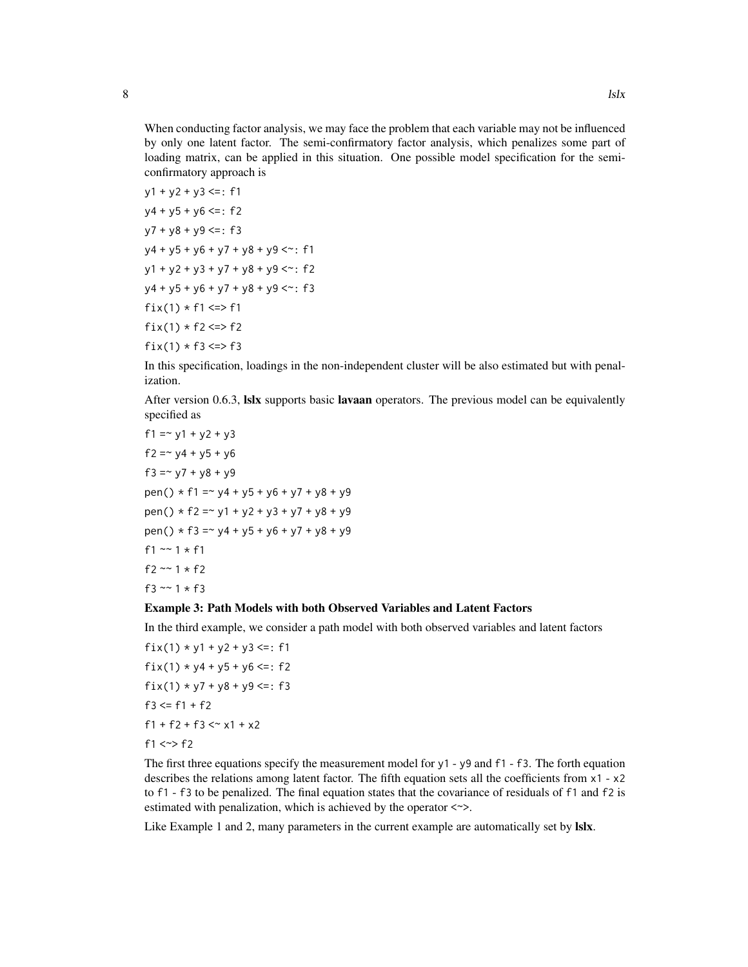When conducting factor analysis, we may face the problem that each variable may not be influenced by only one latent factor. The semi-confirmatory factor analysis, which penalizes some part of loading matrix, can be applied in this situation. One possible model specification for the semiconfirmatory approach is

```
y1 + y2 + y3 \leq z: f1
y4 + y5 + y6 \leq z: f2
y7 + y8 + y9 \leq z: f3
y4 + y5 + y6 + y7 + y8 + y9 \leq r: f1
y1 + y2 + y3 + y7 + y8 + y9 \leq t: f2
y4 + y5 + y6 + y7 + y8 + y9 \leq x: f3
fix(1) * f1 \le x \le f1fix(1) * f2 \leq F2fix(1) * f3 \leq > f3
```
In this specification, loadings in the non-independent cluster will be also estimated but with penalization.

After version 0.6.3, **Islx** supports basic **lavaan** operators. The previous model can be equivalently specified as

f1 =  $-y1 + y2 + y3$ f2 =  $\sim$  y4 + y5 + y6 f3 =  $\sim$  y7 + y8 + y9 pen()  $*$  f1 =  $*$  y4 + y5 + y6 + y7 + y8 + y9 pen()  $*$  f2 =  $*$  y1 + y2 + y3 + y7 + y8 + y9 pen()  $*$  f3 =  $*$  y4 + y5 + y6 + y7 + y8 + y9 f1  $\sim$  1  $\star$  f1 f2  $~-1$   $~+$  f2 f3  $~7$  1  $~*$  f3

#### Example 3: Path Models with both Observed Variables and Latent Factors

In the third example, we consider a path model with both observed variables and latent factors

 $fix(1) * y1 + y2 + y3 \leq: f1$  $fix(1) * y4 + y5 + y6 \leq: f2$ fix(1)  $* y7 + y8 + y9 \le i$ : f3  $f3 \leq f1 + f2$  $f1 + f2 + f3 < x1 + x2$ f1  $\le$  > f2

The first three equations specify the measurement model for y1 - y9 and f1 - f3. The forth equation describes the relations among latent factor. The fifth equation sets all the coefficients from x1 - x2 to f1 - f3 to be penalized. The final equation states that the covariance of residuals of f1 and f2 is estimated with penalization, which is achieved by the operator  $\langle \sim \rangle$ .

Like Example 1 and 2, many parameters in the current example are automatically set by **Islx**.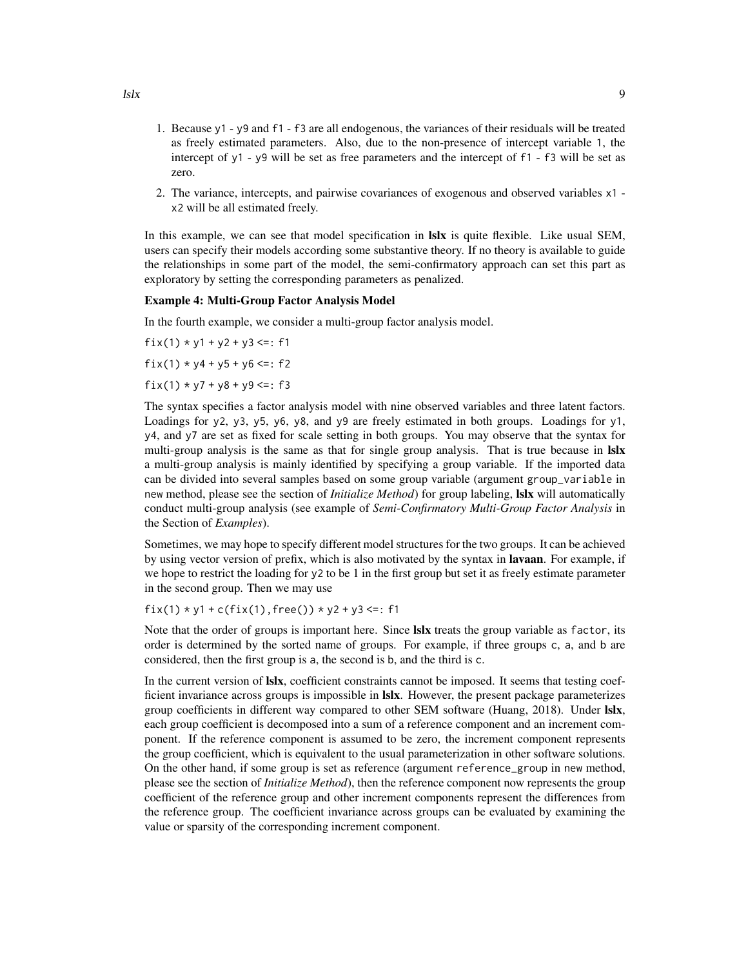- 1. Because y1 y9 and f1 f3 are all endogenous, the variances of their residuals will be treated as freely estimated parameters. Also, due to the non-presence of intercept variable 1, the intercept of y1 - y9 will be set as free parameters and the intercept of f1 - f3 will be set as zero.
- 2. The variance, intercepts, and pairwise covariances of exogenous and observed variables x1 x2 will be all estimated freely.

In this example, we can see that model specification in Islx is quite flexible. Like usual SEM, users can specify their models according some substantive theory. If no theory is available to guide the relationships in some part of the model, the semi-confirmatory approach can set this part as exploratory by setting the corresponding parameters as penalized.

#### Example 4: Multi-Group Factor Analysis Model

In the fourth example, we consider a multi-group factor analysis model.

fix(1)  $*$  y1 + y2 + y3 <=: f1  $fix(1) * y4 + y5 + y6 \leq: f2$  $fix(1) * y7 + y8 + y9 \leq: f3$ 

The syntax specifies a factor analysis model with nine observed variables and three latent factors. Loadings for y2, y3, y5, y6, y8, and y9 are freely estimated in both groups. Loadings for y1, y4, and y7 are set as fixed for scale setting in both groups. You may observe that the syntax for multi-group analysis is the same as that for single group analysis. That is true because in **Islx** a multi-group analysis is mainly identified by specifying a group variable. If the imported data can be divided into several samples based on some group variable (argument group\_variable in new method, please see the section of *Initialize Method*) for group labeling, lslx will automatically conduct multi-group analysis (see example of *Semi-Confirmatory Multi-Group Factor Analysis* in the Section of *Examples*).

Sometimes, we may hope to specify different model structures for the two groups. It can be achieved by using vector version of prefix, which is also motivated by the syntax in **lavaan**. For example, if we hope to restrict the loading for  $y^2$  to be 1 in the first group but set it as freely estimate parameter in the second group. Then we may use

```
fix(1) * y1 + c(fix(1), free()) * y2 + y3 \leq:f1
```
Note that the order of groups is important here. Since Islx treats the group variable as factor, its order is determined by the sorted name of groups. For example, if three groups c, a, and b are considered, then the first group is a, the second is b, and the third is c.

In the current version of Islx, coefficient constraints cannot be imposed. It seems that testing coefficient invariance across groups is impossible in **Islx**. However, the present package parameterizes group coefficients in different way compared to other SEM software (Huang, 2018). Under Islx, each group coefficient is decomposed into a sum of a reference component and an increment component. If the reference component is assumed to be zero, the increment component represents the group coefficient, which is equivalent to the usual parameterization in other software solutions. On the other hand, if some group is set as reference (argument reference\_group in new method, please see the section of *Initialize Method*), then the reference component now represents the group coefficient of the reference group and other increment components represent the differences from the reference group. The coefficient invariance across groups can be evaluated by examining the value or sparsity of the corresponding increment component.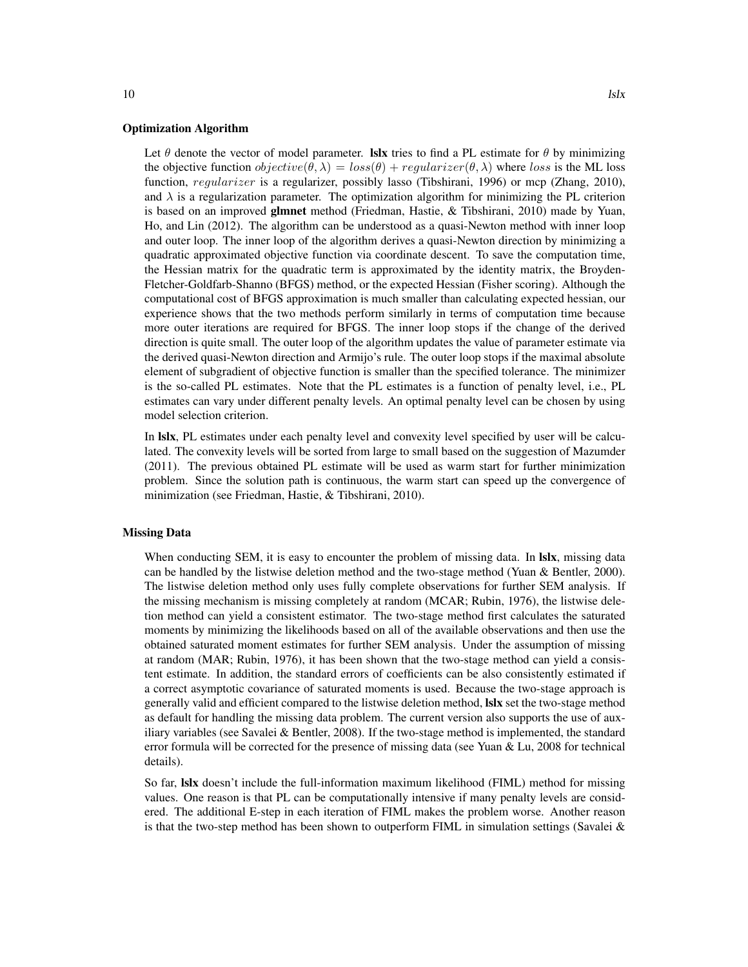#### Optimization Algorithm

Let  $\theta$  denote the vector of model parameter. **Islx** tries to find a PL estimate for  $\theta$  by minimizing the objective function  $objective(\theta, \lambda) = loss(\theta) + regularizer(\theta, \lambda)$  where loss is the ML loss function, regularizer is a regularizer, possibly lasso (Tibshirani, 1996) or mcp (Zhang, 2010), and  $\lambda$  is a regularization parameter. The optimization algorithm for minimizing the PL criterion is based on an improved glmnet method (Friedman, Hastie, & Tibshirani, 2010) made by Yuan, Ho, and Lin (2012). The algorithm can be understood as a quasi-Newton method with inner loop and outer loop. The inner loop of the algorithm derives a quasi-Newton direction by minimizing a quadratic approximated objective function via coordinate descent. To save the computation time, the Hessian matrix for the quadratic term is approximated by the identity matrix, the Broyden-Fletcher-Goldfarb-Shanno (BFGS) method, or the expected Hessian (Fisher scoring). Although the computational cost of BFGS approximation is much smaller than calculating expected hessian, our experience shows that the two methods perform similarly in terms of computation time because more outer iterations are required for BFGS. The inner loop stops if the change of the derived direction is quite small. The outer loop of the algorithm updates the value of parameter estimate via the derived quasi-Newton direction and Armijo's rule. The outer loop stops if the maximal absolute element of subgradient of objective function is smaller than the specified tolerance. The minimizer is the so-called PL estimates. Note that the PL estimates is a function of penalty level, i.e., PL estimates can vary under different penalty levels. An optimal penalty level can be chosen by using model selection criterion.

In **Islx**, PL estimates under each penalty level and convexity level specified by user will be calculated. The convexity levels will be sorted from large to small based on the suggestion of Mazumder (2011). The previous obtained PL estimate will be used as warm start for further minimization problem. Since the solution path is continuous, the warm start can speed up the convergence of minimization (see Friedman, Hastie, & Tibshirani, 2010).

#### Missing Data

When conducting SEM, it is easy to encounter the problem of missing data. In **Islx**, missing data can be handled by the listwise deletion method and the two-stage method (Yuan & Bentler, 2000). The listwise deletion method only uses fully complete observations for further SEM analysis. If the missing mechanism is missing completely at random (MCAR; Rubin, 1976), the listwise deletion method can yield a consistent estimator. The two-stage method first calculates the saturated moments by minimizing the likelihoods based on all of the available observations and then use the obtained saturated moment estimates for further SEM analysis. Under the assumption of missing at random (MAR; Rubin, 1976), it has been shown that the two-stage method can yield a consistent estimate. In addition, the standard errors of coefficients can be also consistently estimated if a correct asymptotic covariance of saturated moments is used. Because the two-stage approach is generally valid and efficient compared to the listwise deletion method, lslx set the two-stage method as default for handling the missing data problem. The current version also supports the use of auxiliary variables (see Savalei & Bentler, 2008). If the two-stage method is implemented, the standard error formula will be corrected for the presence of missing data (see Yuan & Lu, 2008 for technical details).

So far, **Islx** doesn't include the full-information maximum likelihood (FIML) method for missing values. One reason is that PL can be computationally intensive if many penalty levels are considered. The additional E-step in each iteration of FIML makes the problem worse. Another reason is that the two-step method has been shown to outperform FIML in simulation settings (Savalei  $\&$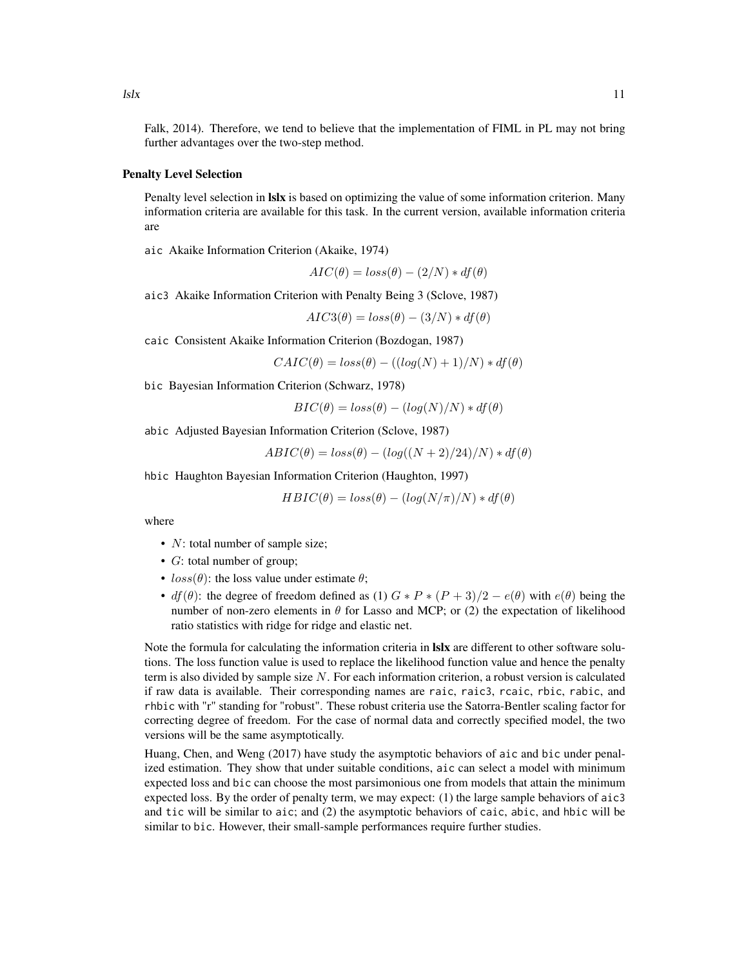Falk, 2014). Therefore, we tend to believe that the implementation of FIML in PL may not bring further advantages over the two-step method.

#### Penalty Level Selection

Penalty level selection in **Islx** is based on optimizing the value of some information criterion. Many information criteria are available for this task. In the current version, available information criteria are

aic Akaike Information Criterion (Akaike, 1974)

$$
AIC(\theta) = loss(\theta) - (2/N) * df(\theta)
$$

aic3 Akaike Information Criterion with Penalty Being 3 (Sclove, 1987)

$$
AIC3(\theta) = loss(\theta) - (3/N) * df(\theta)
$$

caic Consistent Akaike Information Criterion (Bozdogan, 1987)

$$
CAIC(\theta) = loss(\theta) - ((log(N) + 1)/N) * df(\theta)
$$

bic Bayesian Information Criterion (Schwarz, 1978)

$$
BIC(\theta) = loss(\theta) - (log(N)/N) * df(\theta)
$$

abic Adjusted Bayesian Information Criterion (Sclove, 1987)

$$
ABIC(\theta) = loss(\theta) - (log((N+2)/24)/N) * df(\theta)
$$

hbic Haughton Bayesian Information Criterion (Haughton, 1997)

$$
HBIC(\theta) = loss(\theta) - (log(N/\pi)/N) * df(\theta)
$$

where

- $N$ : total number of sample size;
- $G$ : total number of group;
- $loss(\theta)$ : the loss value under estimate  $\theta$ ;
- $df(\theta)$ : the degree of freedom defined as (1)  $G * P * (P + 3)/2 e(\theta)$  with  $e(\theta)$  being the number of non-zero elements in  $\theta$  for Lasso and MCP; or (2) the expectation of likelihood ratio statistics with ridge for ridge and elastic net.

Note the formula for calculating the information criteria in lslx are different to other software solutions. The loss function value is used to replace the likelihood function value and hence the penalty term is also divided by sample size  $N$ . For each information criterion, a robust version is calculated if raw data is available. Their corresponding names are raic, raic3, rcaic, rbic, rabic, and rhbic with "r" standing for "robust". These robust criteria use the Satorra-Bentler scaling factor for correcting degree of freedom. For the case of normal data and correctly specified model, the two versions will be the same asymptotically.

Huang, Chen, and Weng (2017) have study the asymptotic behaviors of aic and bic under penalized estimation. They show that under suitable conditions, aic can select a model with minimum expected loss and bic can choose the most parsimonious one from models that attain the minimum expected loss. By the order of penalty term, we may expect: (1) the large sample behaviors of aic3 and tic will be similar to aic; and (2) the asymptotic behaviors of caic, abic, and hbic will be similar to bic. However, their small-sample performances require further studies.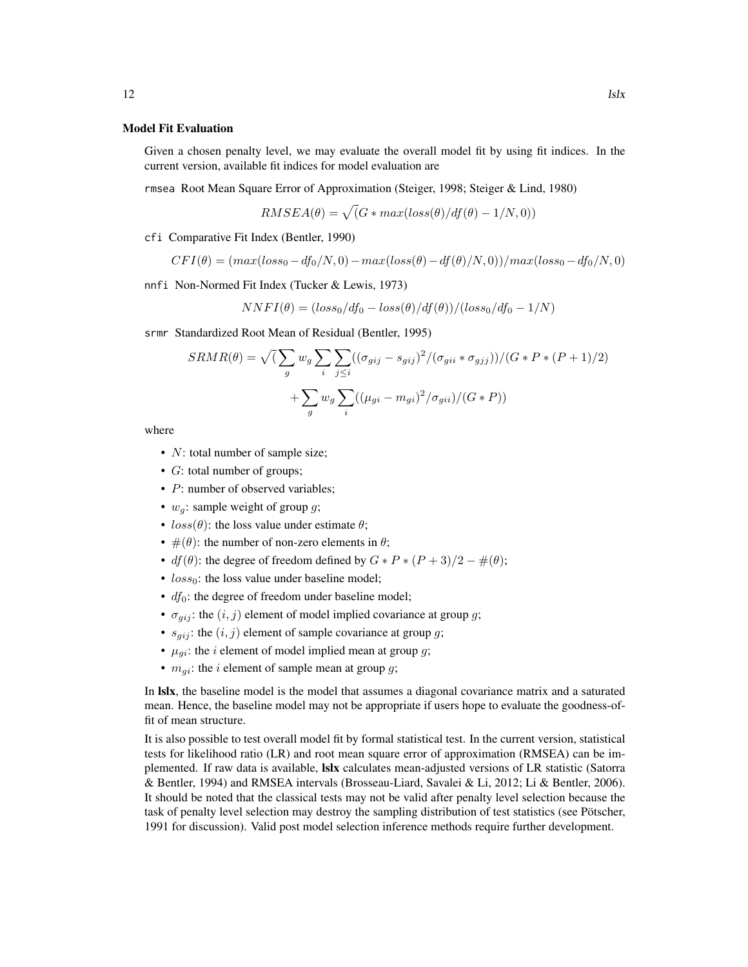#### Model Fit Evaluation

Given a chosen penalty level, we may evaluate the overall model fit by using fit indices. In the current version, available fit indices for model evaluation are

rmsea Root Mean Square Error of Approximation (Steiger, 1998; Steiger & Lind, 1980)

$$
RMSEA(\theta) = \sqrt{(G * max(logs(\theta)/df(\theta) - 1/N, 0))}
$$

cfi Comparative Fit Index (Bentler, 1990)

$$
CFI(\theta) = (max(log_{50} - df_0/N, 0) - max(log_{5}(\theta) - df(\theta)/N, 0)) / max(log_{50} - df_0/N, 0)
$$

nnfi Non-Normed Fit Index (Tucker & Lewis, 1973)

$$
NNFI(\theta) = (loss_0/df_0 - loss(\theta)/df(\theta))/(loss_0/df_0 - 1/N)
$$

srmr Standardized Root Mean of Residual (Bentler, 1995)

$$
SRMR(\theta) = \sqrt{(\sum_{g} w_g \sum_{i} \sum_{j \leq i} ((\sigma_{gij} - s_{gij})^2 / (\sigma_{gii} * \sigma_{gjj})) / (G * P * (P + 1)/2)) + \sum_{g} w_g \sum_{i} ((\mu_{gi} - m_{gi})^2 / \sigma_{gii}) / (G * P))}
$$

where

- *N*: total number of sample size;
- *G*: total number of groups;
- P: number of observed variables;
- $w_q$ : sample weight of group  $q$ ;
- $loss(\theta)$ : the loss value under estimate  $\theta$ ;
- $\#(\theta)$ : the number of non-zero elements in  $\theta$ ;
- $df(\theta)$ : the degree of freedom defined by  $G * P * (P + 3)/2 \#(\theta)$ ;
- $loss_0$ : the loss value under baseline model;
- $df_0$ : the degree of freedom under baseline model;
- $\sigma_{qij}$ : the  $(i, j)$  element of model implied covariance at group g;
- $s_{qij}$ : the  $(i, j)$  element of sample covariance at group g;
- $\mu_{gi}$ : the *i* element of model implied mean at group *g*;
- $m_{qi}$ : the *i* element of sample mean at group *g*;

In lslx, the baseline model is the model that assumes a diagonal covariance matrix and a saturated mean. Hence, the baseline model may not be appropriate if users hope to evaluate the goodness-offit of mean structure.

It is also possible to test overall model fit by formal statistical test. In the current version, statistical tests for likelihood ratio (LR) and root mean square error of approximation (RMSEA) can be implemented. If raw data is available, lslx calculates mean-adjusted versions of LR statistic (Satorra & Bentler, 1994) and RMSEA intervals (Brosseau-Liard, Savalei & Li, 2012; Li & Bentler, 2006). It should be noted that the classical tests may not be valid after penalty level selection because the task of penalty level selection may destroy the sampling distribution of test statistics (see Pötscher, 1991 for discussion). Valid post model selection inference methods require further development.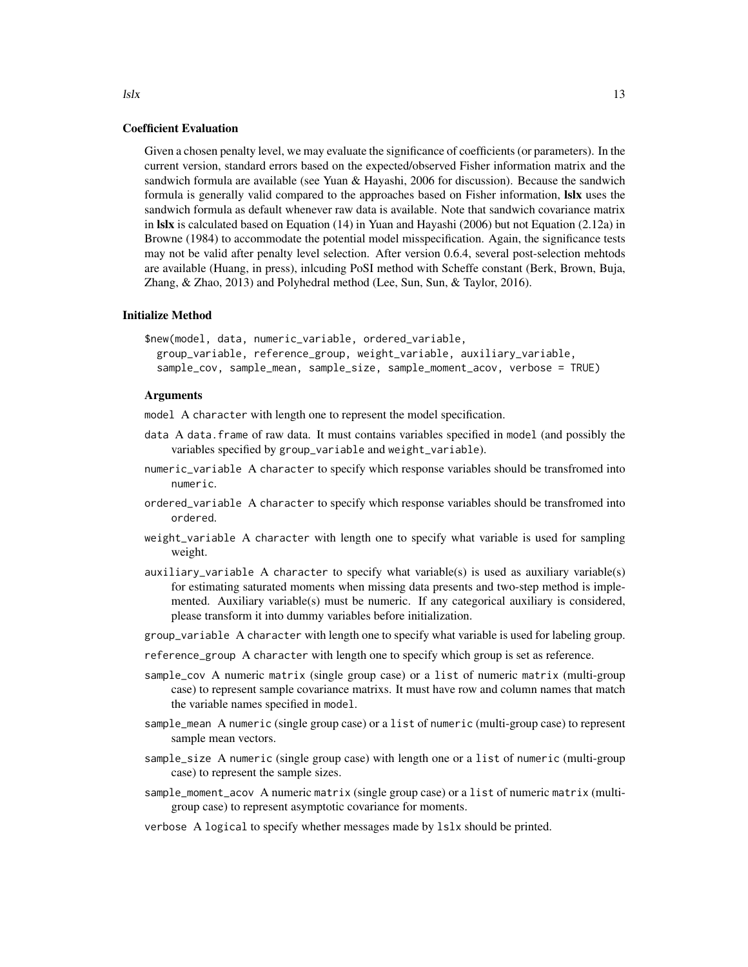#### Coefficient Evaluation

Given a chosen penalty level, we may evaluate the significance of coefficients (or parameters). In the current version, standard errors based on the expected/observed Fisher information matrix and the sandwich formula are available (see Yuan & Hayashi, 2006 for discussion). Because the sandwich formula is generally valid compared to the approaches based on Fisher information, **Islx** uses the sandwich formula as default whenever raw data is available. Note that sandwich covariance matrix in lslx is calculated based on Equation (14) in Yuan and Hayashi (2006) but not Equation (2.12a) in Browne (1984) to accommodate the potential model misspecification. Again, the significance tests may not be valid after penalty level selection. After version 0.6.4, several post-selection mehtods are available (Huang, in press), inlcuding PoSI method with Scheffe constant (Berk, Brown, Buja, Zhang, & Zhao, 2013) and Polyhedral method (Lee, Sun, Sun, & Taylor, 2016).

#### Initialize Method

\$new(model, data, numeric\_variable, ordered\_variable, group\_variable, reference\_group, weight\_variable, auxiliary\_variable, sample\_cov, sample\_mean, sample\_size, sample\_moment\_acov, verbose = TRUE)

#### Arguments

model A character with length one to represent the model specification.

- data A data.frame of raw data. It must contains variables specified in model (and possibly the variables specified by group\_variable and weight\_variable).
- numeric\_variable A character to specify which response variables should be transfromed into numeric.
- ordered\_variable A character to specify which response variables should be transfromed into ordered.
- weight\_variable A character with length one to specify what variable is used for sampling weight.
- auxiliary\_variable A character to specify what variable(s) is used as auxiliary variable(s) for estimating saturated moments when missing data presents and two-step method is implemented. Auxiliary variable(s) must be numeric. If any categorical auxiliary is considered, please transform it into dummy variables before initialization.
- group\_variable A character with length one to specify what variable is used for labeling group.
- reference\_group A character with length one to specify which group is set as reference.
- sample\_cov A numeric matrix (single group case) or a list of numeric matrix (multi-group case) to represent sample covariance matrixs. It must have row and column names that match the variable names specified in model.
- sample\_mean A numeric (single group case) or a list of numeric (multi-group case) to represent sample mean vectors.
- sample\_size A numeric (single group case) with length one or a list of numeric (multi-group case) to represent the sample sizes.
- sample\_moment\_acov A numeric matrix (single group case) or a list of numeric matrix (multigroup case) to represent asymptotic covariance for moments.
- verbose A logical to specify whether messages made by lslx should be printed.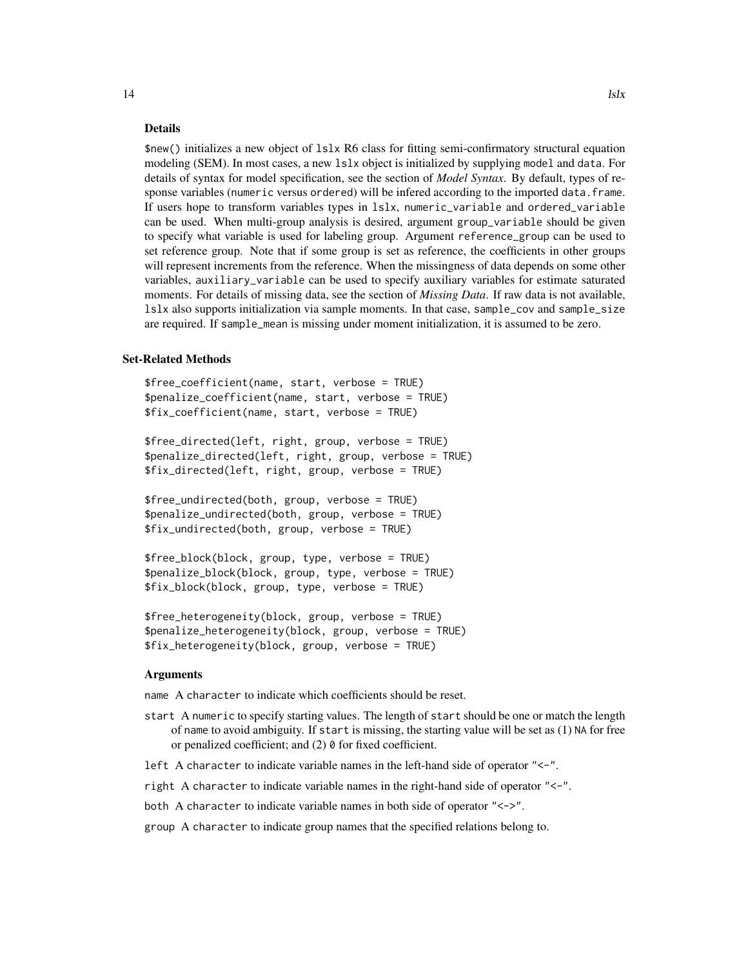\$new() initializes a new object of lslx R6 class for fitting semi-confirmatory structural equation modeling (SEM). In most cases, a new lslx object is initialized by supplying model and data. For details of syntax for model specification, see the section of *Model Syntax*. By default, types of response variables (numeric versus ordered) will be infered according to the imported data.frame. If users hope to transform variables types in lslx, numeric\_variable and ordered\_variable can be used. When multi-group analysis is desired, argument group\_variable should be given to specify what variable is used for labeling group. Argument reference\_group can be used to set reference group. Note that if some group is set as reference, the coefficients in other groups will represent increments from the reference. When the missingness of data depends on some other variables, auxiliary\_variable can be used to specify auxiliary variables for estimate saturated moments. For details of missing data, see the section of *Missing Data*. If raw data is not available, lslx also supports initialization via sample moments. In that case, sample\_cov and sample\_size are required. If sample\_mean is missing under moment initialization, it is assumed to be zero.

#### Set-Related Methods

```
$free_coefficient(name, start, verbose = TRUE)
$penalize_coefficient(name, start, verbose = TRUE)
$fix_coefficient(name, start, verbose = TRUE)
```
\$free\_directed(left, right, group, verbose = TRUE) \$penalize\_directed(left, right, group, verbose = TRUE) \$fix\_directed(left, right, group, verbose = TRUE)

\$free\_undirected(both, group, verbose = TRUE) \$penalize\_undirected(both, group, verbose = TRUE) \$fix\_undirected(both, group, verbose = TRUE)

\$free\_block(block, group, type, verbose = TRUE) \$penalize\_block(block, group, type, verbose = TRUE) \$fix\_block(block, group, type, verbose = TRUE)

\$free\_heterogeneity(block, group, verbose = TRUE) \$penalize\_heterogeneity(block, group, verbose = TRUE) \$fix\_heterogeneity(block, group, verbose = TRUE)

#### Arguments

name A character to indicate which coefficients should be reset.

- start A numeric to specify starting values. The length of start should be one or match the length of name to avoid ambiguity. If start is missing, the starting value will be set as (1) NA for free or penalized coefficient; and (2) 0 for fixed coefficient.
- left A character to indicate variable names in the left-hand side of operator "<-".

right A character to indicate variable names in the right-hand side of operator "<-".

both A character to indicate variable names in both side of operator "<->".

group A character to indicate group names that the specified relations belong to.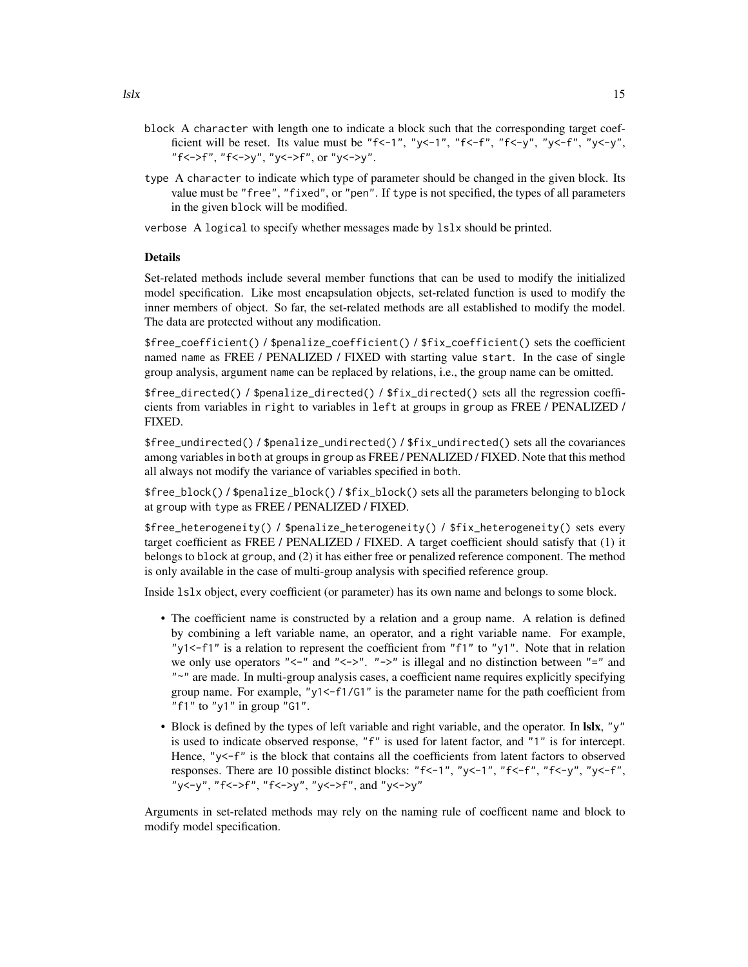- block A character with length one to indicate a block such that the corresponding target coefficient will be reset. Its value must be "f<-1", "y<-1", "f<-f", "f<-y", "y<-f", "y<-y", "f<->f", "f<->y", "y<->f", or "y<->y".
- type A character to indicate which type of parameter should be changed in the given block. Its value must be "free", "fixed", or "pen". If type is not specified, the types of all parameters in the given block will be modified.
- verbose A logical to specify whether messages made by lslx should be printed.

Set-related methods include several member functions that can be used to modify the initialized model specification. Like most encapsulation objects, set-related function is used to modify the inner members of object. So far, the set-related methods are all established to modify the model. The data are protected without any modification.

\$free\_coefficient() / \$penalize\_coefficient() / \$fix\_coefficient() sets the coefficient named name as FREE / PENALIZED / FIXED with starting value start. In the case of single group analysis, argument name can be replaced by relations, i.e., the group name can be omitted.

\$free\_directed() / \$penalize\_directed() / \$fix\_directed() sets all the regression coefficients from variables in right to variables in left at groups in group as FREE / PENALIZED / FIXED.

\$free\_undirected() / \$penalize\_undirected() / \$fix\_undirected() sets all the covariances among variables in both at groups in group as FREE / PENALIZED / FIXED. Note that this method all always not modify the variance of variables specified in both.

\$free\_block() / \$penalize\_block() / \$fix\_block() sets all the parameters belonging to block at group with type as FREE / PENALIZED / FIXED.

\$free\_heterogeneity() / \$penalize\_heterogeneity() / \$fix\_heterogeneity() sets every target coefficient as FREE / PENALIZED / FIXED. A target coefficient should satisfy that (1) it belongs to block at group, and (2) it has either free or penalized reference component. The method is only available in the case of multi-group analysis with specified reference group.

Inside lslx object, every coefficient (or parameter) has its own name and belongs to some block.

- The coefficient name is constructed by a relation and a group name. A relation is defined by combining a left variable name, an operator, and a right variable name. For example, "y1<-f1" is a relation to represent the coefficient from "f1" to "y1". Note that in relation we only use operators "<-" and "<->". "->" is illegal and no distinction between "=" and "~" are made. In multi-group analysis cases, a coefficient name requires explicitly specifying group name. For example, " $y1 < -f1/G1$ " is the parameter name for the path coefficient from "f1" to "y1" in group " $G1$ ".
- Block is defined by the types of left variable and right variable, and the operator. In **Islx**, " $y$ " is used to indicate observed response, "f" is used for latent factor, and "1" is for intercept. Hence, "y<-f" is the block that contains all the coefficients from latent factors to observed responses. There are 10 possible distinct blocks: " $f \leftarrow 1$ ", " $y \leftarrow -1$ ", " $f \leftarrow f$ ", " $f \leftarrow y$ ", " $y \leftarrow f$ ", "y<-y", "f<->f", "f<->y", "y<->f", and "y<->y"

Arguments in set-related methods may rely on the naming rule of coefficent name and block to modify model specification.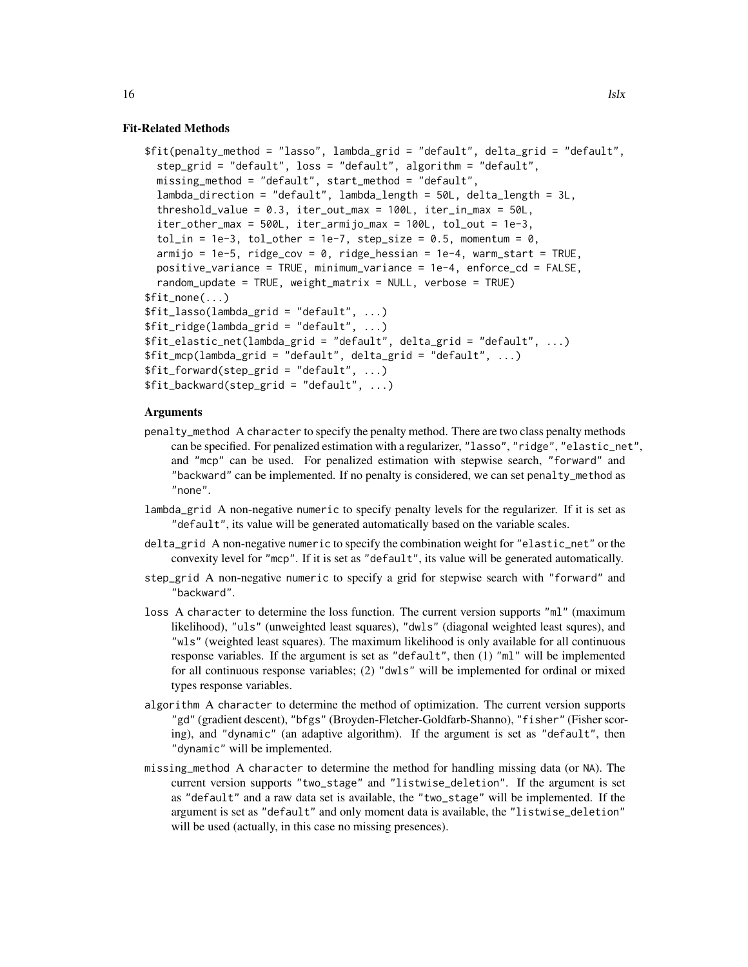```
$fit(penalty_method = "lasso", lambda_grid = "default", delta_grid = "default",
 step_grid = "default", loss = "default", algorithm = "default",
 missing_method = "default", start_method = "default",
 lambda_direction = "default", lambda_length = 50L, delta_length = 3L,
 threshold_value = 0.3, iter_out_max = 100L, iter_in_max = 50L,
 iter_other_max = 500L, iter_armijo_max = 100L, tol_out = 1e-3,
 tol_in = 1e-3, tol_other = 1e-7, step_size = 0.5, momentum = 0,
 armijo = 1e-5, ridge\_cov = 0, ridge\_hessian = 1e-4, warm\_start = TRUE,
 positive_variance = TRUE, minimum_variance = 1e-4, enforce_cd = FALSE,
 random_update = TRUE, weight_matrix = NULL, verbose = TRUE)
$fit_none(...)
$fit\_lasso(lambda\_grid = "default", ...)$fit_ridge(lambda_grid = "default", ...)
$fit_elastic_net(lambda_grid = "default", delta_grid = "default", ...)
$fit_mcp(lambda_grid = "default", delta_grid = "default", ...)
$fit_forward (step_grid = "default", ...)$fit\_backward(step\_grid = "default", ...)
```
- penalty\_method A character to specify the penalty method. There are two class penalty methods can be specified. For penalized estimation with a regularizer, "lasso", "ridge", "elastic\_net", and "mcp" can be used. For penalized estimation with stepwise search, "forward" and "backward" can be implemented. If no penalty is considered, we can set penalty\_method as "none".
- lambda\_grid A non-negative numeric to specify penalty levels for the regularizer. If it is set as "default", its value will be generated automatically based on the variable scales.
- delta\_grid A non-negative numeric to specify the combination weight for "elastic\_net" or the convexity level for "mcp". If it is set as "default", its value will be generated automatically.
- step\_grid A non-negative numeric to specify a grid for stepwise search with "forward" and "backward".
- loss A character to determine the loss function. The current version supports "ml" (maximum likelihood), "uls" (unweighted least squares), "dwls" (diagonal weighted least squres), and "wls" (weighted least squares). The maximum likelihood is only available for all continuous response variables. If the argument is set as "default", then (1) "ml" will be implemented for all continuous response variables; (2) "dwls" will be implemented for ordinal or mixed types response variables.
- algorithm A character to determine the method of optimization. The current version supports "gd" (gradient descent), "bfgs" (Broyden-Fletcher-Goldfarb-Shanno), "fisher" (Fisher scoring), and "dynamic" (an adaptive algorithm). If the argument is set as "default", then "dynamic" will be implemented.
- missing\_method A character to determine the method for handling missing data (or NA). The current version supports "two\_stage" and "listwise\_deletion". If the argument is set as "default" and a raw data set is available, the "two\_stage" will be implemented. If the argument is set as "default" and only moment data is available, the "listwise\_deletion" will be used (actually, in this case no missing presences).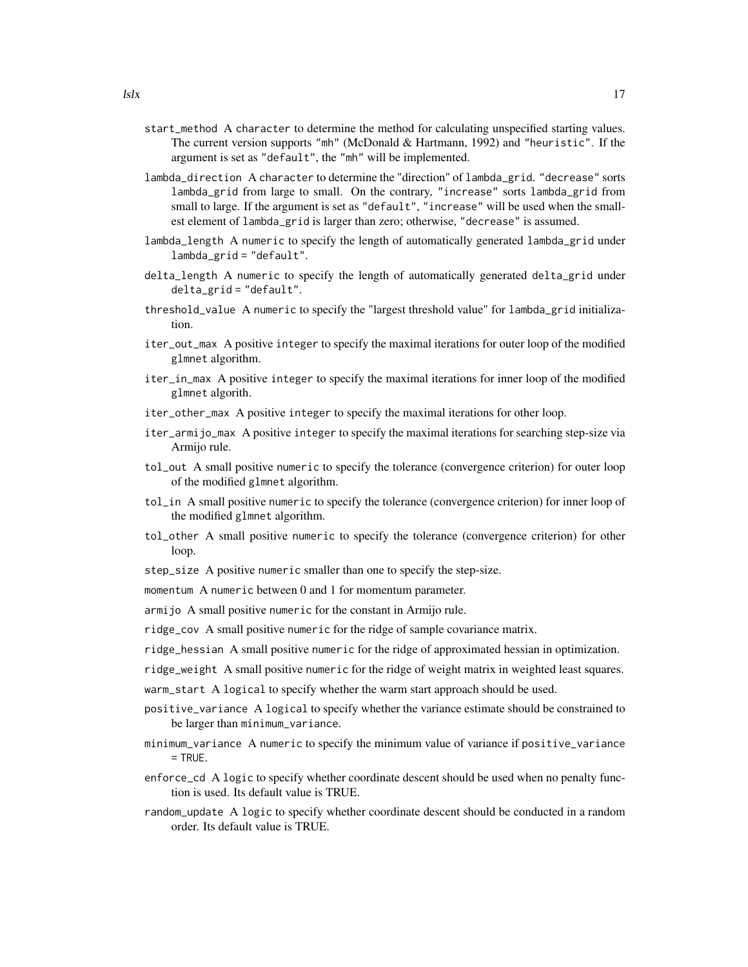- start\_method A character to determine the method for calculating unspecified starting values. The current version supports "mh" (McDonald & Hartmann, 1992) and "heuristic". If the argument is set as "default", the "mh" will be implemented.
- lambda\_direction A character to determine the "direction" of lambda\_grid. "decrease" sorts lambda\_grid from large to small. On the contrary, "increase" sorts lambda\_grid from small to large. If the argument is set as "default", "increase" will be used when the smallest element of lambda\_grid is larger than zero; otherwise, "decrease" is assumed.
- lambda\_length A numeric to specify the length of automatically generated lambda\_grid under lambda\_grid = "default".
- delta\_length A numeric to specify the length of automatically generated delta\_grid under delta\_grid = "default".
- threshold\_value A numeric to specify the "largest threshold value" for lambda\_grid initialization.
- iter\_out\_max A positive integer to specify the maximal iterations for outer loop of the modified glmnet algorithm.
- iter\_in\_max A positive integer to specify the maximal iterations for inner loop of the modified glmnet algorith.
- iter\_other\_max A positive integer to specify the maximal iterations for other loop.
- iter\_armijo\_max A positive integer to specify the maximal iterations for searching step-size via Armijo rule.
- tol\_out A small positive numeric to specify the tolerance (convergence criterion) for outer loop of the modified glmnet algorithm.
- tol\_in A small positive numeric to specify the tolerance (convergence criterion) for inner loop of the modified glmnet algorithm.
- tol\_other A small positive numeric to specify the tolerance (convergence criterion) for other loop.
- step\_size A positive numeric smaller than one to specify the step-size.

momentum A numeric between 0 and 1 for momentum parameter.

- armijo A small positive numeric for the constant in Armijo rule.
- ridge\_cov A small positive numeric for the ridge of sample covariance matrix.
- ridge\_hessian A small positive numeric for the ridge of approximated hessian in optimization.
- ridge\_weight A small positive numeric for the ridge of weight matrix in weighted least squares.
- warm\_start A logical to specify whether the warm start approach should be used.
- positive\_variance A logical to specify whether the variance estimate should be constrained to be larger than minimum\_variance.
- minimum\_variance A numeric to specify the minimum value of variance if positive\_variance  $=$  TRUE.
- enforce\_cd A logic to specify whether coordinate descent should be used when no penalty function is used. Its default value is TRUE.
- random\_update A logic to specify whether coordinate descent should be conducted in a random order. Its default value is TRUE.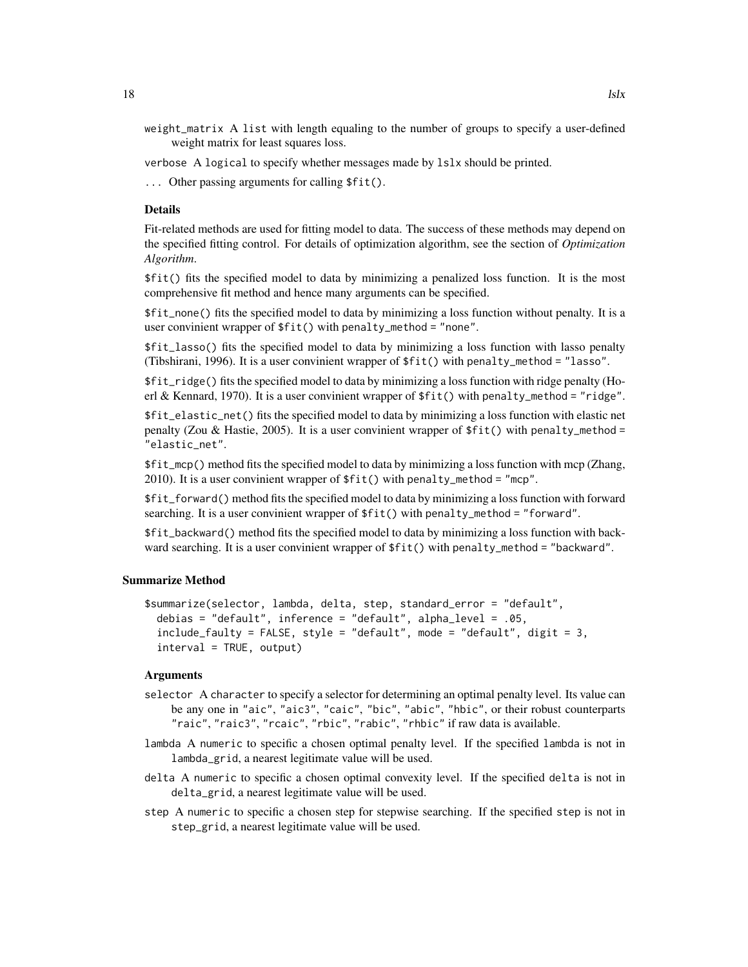- weight\_matrix A list with length equaling to the number of groups to specify a user-defined weight matrix for least squares loss.
- verbose A logical to specify whether messages made by lslx should be printed.
- ... Other passing arguments for calling \$fit().

Fit-related methods are used for fitting model to data. The success of these methods may depend on the specified fitting control. For details of optimization algorithm, see the section of *Optimization Algorithm*.

\$fit() fits the specified model to data by minimizing a penalized loss function. It is the most comprehensive fit method and hence many arguments can be specified.

\$fit\_none() fits the specified model to data by minimizing a loss function without penalty. It is a user convinient wrapper of \$fit() with penalty\_method = "none".

\$fit\_lasso() fits the specified model to data by minimizing a loss function with lasso penalty (Tibshirani, 1996). It is a user convinient wrapper of \$fit() with penalty\_method = "lasso".

\$fit\_ridge() fits the specified model to data by minimizing a loss function with ridge penalty (Hoerl & Kennard, 1970). It is a user convinient wrapper of  $ffit()$  with penalty\_method = "ridge".

\$fit\_elastic\_net() fits the specified model to data by minimizing a loss function with elastic net penalty (Zou & Hastie, 2005). It is a user convinient wrapper of \$fit() with penalty\_method = "elastic\_net".

\$fit\_mcp() method fits the specified model to data by minimizing a loss function with mcp (Zhang, 2010). It is a user convinient wrapper of  $fit()$  with penalty\_method = "mcp".

\$fit\_forward() method fits the specified model to data by minimizing a loss function with forward searching. It is a user convinient wrapper of \$fit() with penalty\_method = "forward".

\$fit\_backward() method fits the specified model to data by minimizing a loss function with backward searching. It is a user convinient wrapper of \$fit() with penalty\_method = "backward".

#### Summarize Method

```
$summarize(selector, lambda, delta, step, standard_error = "default",
 debias = "default", inference = "default", alpha_level = .05,
 include_faulty = FALSE, style = "default", mode = "default", digit = 3,
 interval = TRUE, output)
```
- selector A character to specify a selector for determining an optimal penalty level. Its value can be any one in "aic", "aic3", "caic", "bic", "abic", "hbic", or their robust counterparts "raic", "raic3", "rcaic", "rbic", "rabic", "rhbic" if raw data is available.
- lambda A numeric to specific a chosen optimal penalty level. If the specified lambda is not in lambda\_grid, a nearest legitimate value will be used.
- delta A numeric to specific a chosen optimal convexity level. If the specified delta is not in delta\_grid, a nearest legitimate value will be used.
- step A numeric to specific a chosen step for stepwise searching. If the specified step is not in step\_grid, a nearest legitimate value will be used.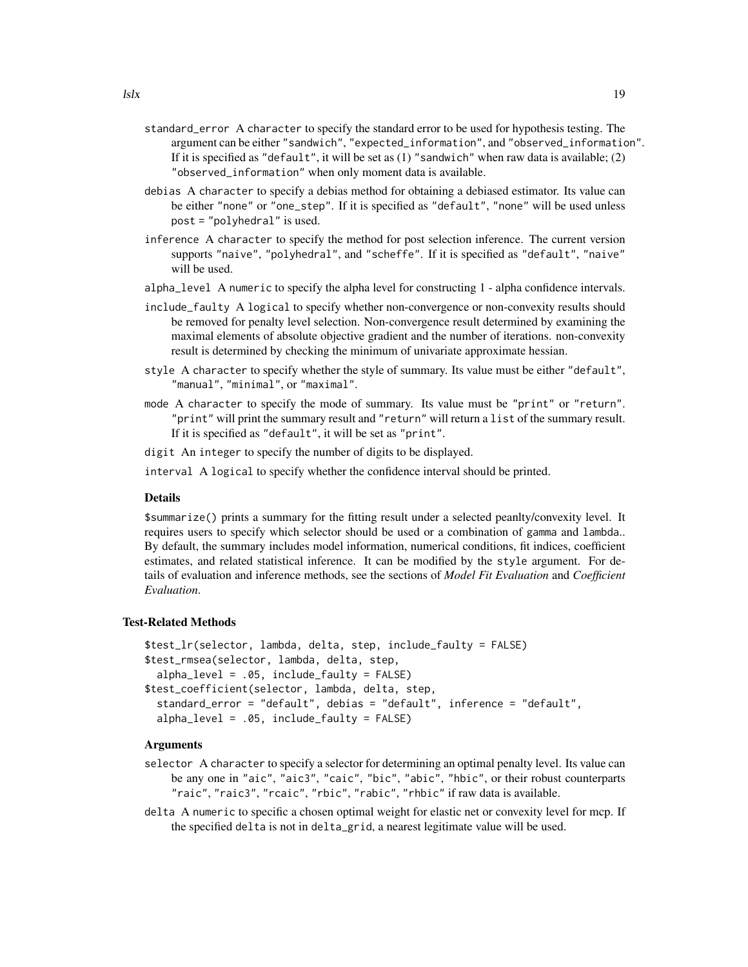- standard\_error A character to specify the standard error to be used for hypothesis testing. The argument can be either "sandwich", "expected\_information", and "observed\_information". If it is specified as "default", it will be set as  $(1)$  "sandwich" when raw data is available;  $(2)$ "observed\_information" when only moment data is available.
- debias A character to specify a debias method for obtaining a debiased estimator. Its value can be either "none" or "one\_step". If it is specified as "default", "none" will be used unless post = "polyhedral" is used.
- inference A character to specify the method for post selection inference. The current version supports "naive", "polyhedral", and "scheffe". If it is specified as "default", "naive" will be used.
- alpha\_level A numeric to specify the alpha level for constructing 1 alpha confidence intervals.
- include\_faulty A logical to specify whether non-convergence or non-convexity results should be removed for penalty level selection. Non-convergence result determined by examining the maximal elements of absolute objective gradient and the number of iterations. non-convexity result is determined by checking the minimum of univariate approximate hessian.
- style A character to specify whether the style of summary. Its value must be either "default", "manual", "minimal", or "maximal".
- mode A character to specify the mode of summary. Its value must be "print" or "return". "print" will print the summary result and "return" will return a list of the summary result. If it is specified as "default", it will be set as "print".
- digit An integer to specify the number of digits to be displayed.
- interval A logical to specify whether the confidence interval should be printed.

\$summarize() prints a summary for the fitting result under a selected peanlty/convexity level. It requires users to specify which selector should be used or a combination of gamma and lambda.. By default, the summary includes model information, numerical conditions, fit indices, coefficient estimates, and related statistical inference. It can be modified by the style argument. For details of evaluation and inference methods, see the sections of *Model Fit Evaluation* and *Coefficient Evaluation*.

#### Test-Related Methods

```
$test_lr(selector, lambda, delta, step, include_faulty = FALSE)
$test_rmsea(selector, lambda, delta, step,
 alpha_level = .05, include_faulty = FALSE)
$test_coefficient(selector, lambda, delta, step,
 standard_error = "default", debias = "default", inference = "default",
 alpha_level = .05, include_faulty = FALSE)
```
- selector A character to specify a selector for determining an optimal penalty level. Its value can be any one in "aic", "aic3", "caic", "bic", "abic", "hbic", or their robust counterparts "raic", "raic3", "rcaic", "rbic", "rabic", "rhbic" if raw data is available.
- delta A numeric to specific a chosen optimal weight for elastic net or convexity level for mcp. If the specified delta is not in delta\_grid, a nearest legitimate value will be used.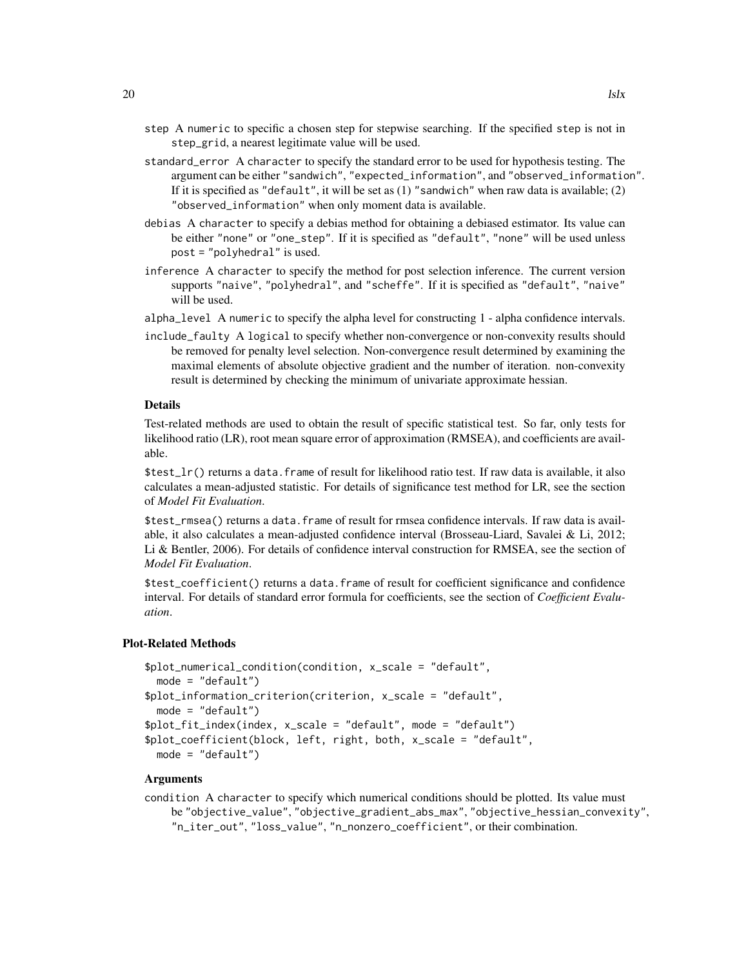- step A numeric to specific a chosen step for stepwise searching. If the specified step is not in step\_grid, a nearest legitimate value will be used.
- standard\_error A character to specify the standard error to be used for hypothesis testing. The argument can be either "sandwich", "expected\_information", and "observed\_information". If it is specified as "default", it will be set as  $(1)$  "sandwich" when raw data is available;  $(2)$ "observed\_information" when only moment data is available.
- debias A character to specify a debias method for obtaining a debiased estimator. Its value can be either "none" or "one\_step". If it is specified as "default", "none" will be used unless post = "polyhedral" is used.
- inference A character to specify the method for post selection inference. The current version supports "naive", "polyhedral", and "scheffe". If it is specified as "default", "naive" will be used.
- alpha\_level A numeric to specify the alpha level for constructing 1 alpha confidence intervals.
- include\_faulty A logical to specify whether non-convergence or non-convexity results should be removed for penalty level selection. Non-convergence result determined by examining the maximal elements of absolute objective gradient and the number of iteration. non-convexity result is determined by checking the minimum of univariate approximate hessian.

Test-related methods are used to obtain the result of specific statistical test. So far, only tests for likelihood ratio (LR), root mean square error of approximation (RMSEA), and coefficients are available.

 $\text{first\_lr}()$  returns a data. frame of result for likelihood ratio test. If raw data is available, it also calculates a mean-adjusted statistic. For details of significance test method for LR, see the section of *Model Fit Evaluation*.

\$test\_rmsea() returns a data.frame of result for rmsea confidence intervals. If raw data is available, it also calculates a mean-adjusted confidence interval (Brosseau-Liard, Savalei & Li, 2012; Li & Bentler, 2006). For details of confidence interval construction for RMSEA, see the section of *Model Fit Evaluation*.

\$test\_coefficient() returns a data.frame of result for coefficient significance and confidence interval. For details of standard error formula for coefficients, see the section of *Coefficient Evaluation*.

#### Plot-Related Methods

```
$plot_numerical_condition(condition, x_scale = "default",
 mode = "default")$plot_information_criterion(criterion, x_scale = "default",
 mode = "default")$plot_fit_index(index, x_scale = "default", mode = "default")
$plot_coefficient(block, left, right, both, x_scale = "default",
 mode = "default")
```
#### Arguments

condition A character to specify which numerical conditions should be plotted. Its value must be "objective\_value", "objective\_gradient\_abs\_max", "objective\_hessian\_convexity", "n\_iter\_out", "loss\_value", "n\_nonzero\_coefficient", or their combination.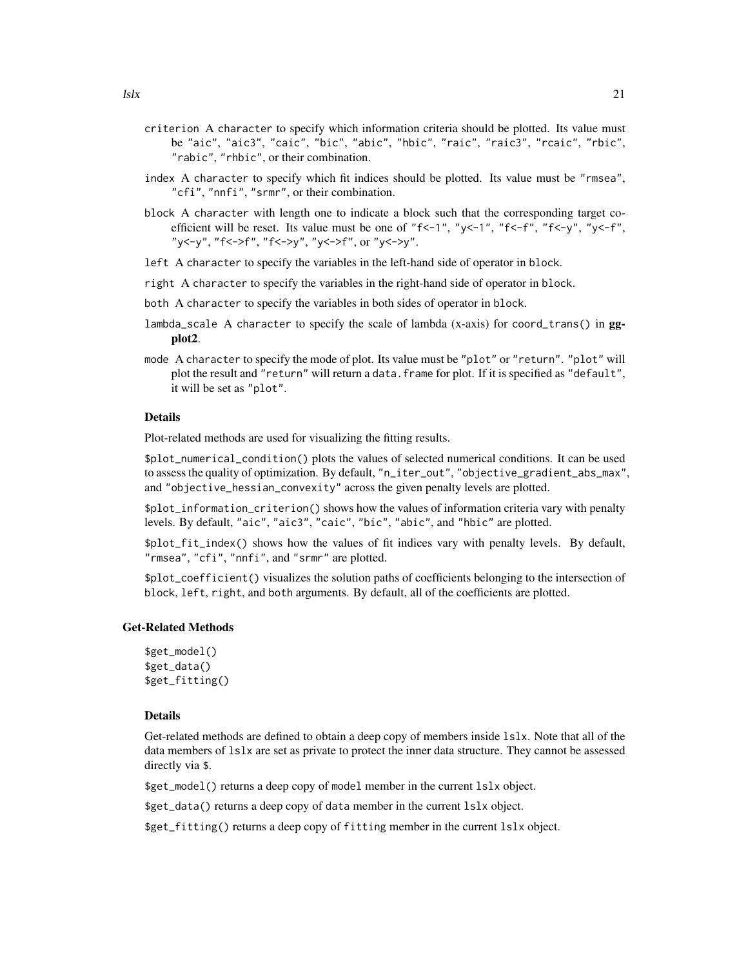- criterion A character to specify which information criteria should be plotted. Its value must be "aic", "aic3", "caic", "bic", "abic", "hbic", "raic", "raic3", "rcaic", "rbic", "rabic", "rhbic", or their combination.
- index A character to specify which fit indices should be plotted. Its value must be "rmsea", "cfi", "nnfi", "srmr", or their combination.
- block A character with length one to indicate a block such that the corresponding target coefficient will be reset. Its value must be one of " $f \le -1$ ", " $y \le -1$ ", " $f \le -f$ ", " $f \le -y$ ", " $y \le -f$ ", "y<-y", "f<->f", "f<->y", "y<->f", or "y<->y".
- left A character to specify the variables in the left-hand side of operator in block.
- right A character to specify the variables in the right-hand side of operator in block.
- both A character to specify the variables in both sides of operator in block.
- lambda\_scale A character to specify the scale of lambda (x-axis) for coord\_trans() in ggplot2.
- mode A character to specify the mode of plot. Its value must be "plot" or "return". "plot" will plot the result and "return" will return a data. frame for plot. If it is specified as "default", it will be set as "plot".

Plot-related methods are used for visualizing the fitting results.

\$plot\_numerical\_condition() plots the values of selected numerical conditions. It can be used to assess the quality of optimization. By default, "n\_iter\_out", "objective\_gradient\_abs\_max", and "objective\_hessian\_convexity" across the given penalty levels are plotted.

\$plot\_information\_criterion() shows how the values of information criteria vary with penalty levels. By default, "aic", "aic3", "caic", "bic", "abic", and "hbic" are plotted.

\$plot\_fit\_index() shows how the values of fit indices vary with penalty levels. By default, "rmsea", "cfi", "nnfi", and "srmr" are plotted.

\$plot\_coefficient() visualizes the solution paths of coefficients belonging to the intersection of block, left, right, and both arguments. By default, all of the coefficients are plotted.

#### Get-Related Methods

```
$get_model()
$get_data()
$get_fitting()
```
#### Details

Get-related methods are defined to obtain a deep copy of members inside lslx. Note that all of the data members of lslx are set as private to protect the inner data structure. They cannot be assessed directly via \$.

\$get\_model() returns a deep copy of model member in the current lslx object.

\$get\_data() returns a deep copy of data member in the current lslx object.

\$get\_fitting() returns a deep copy of fitting member in the current lslx object.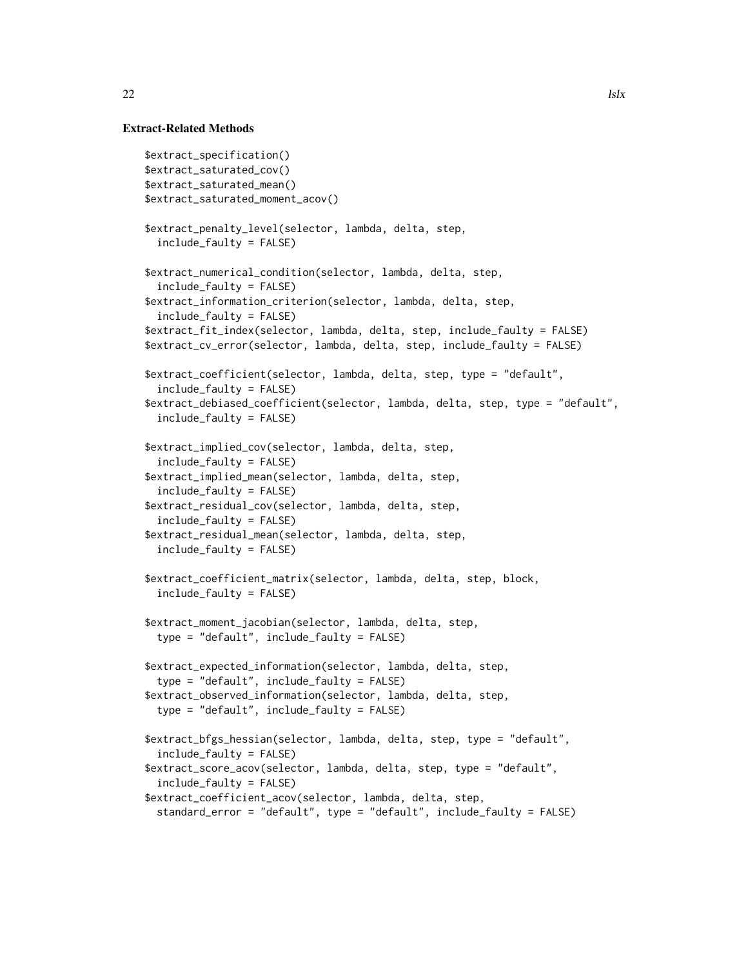#### Extract-Related Methods

```
$extract_specification()
$extract_saturated_cov()
$extract_saturated_mean()
$extract_saturated_moment_acov()
$extract_penalty_level(selector, lambda, delta, step,
 include_faulty = FALSE)
$extract_numerical_condition(selector, lambda, delta, step,
 include_faulty = FALSE)
$extract_information_criterion(selector, lambda, delta, step,
 include_faulty = FALSE)
$extract_fit_index(selector, lambda, delta, step, include_faulty = FALSE)
$extract_cv_error(selector, lambda, delta, step, include_faulty = FALSE)
$extract_coefficient(selector, lambda, delta, step, type = "default",
 include_faulty = FALSE)
$extract_debiased_coefficient(selector, lambda, delta, step, type = "default",
 include_faulty = FALSE)
$extract_implied_cov(selector, lambda, delta, step,
 include_faulty = FALSE)
$extract_implied_mean(selector, lambda, delta, step,
 include_faulty = FALSE)
$extract_residual_cov(selector, lambda, delta, step,
 include_faulty = FALSE)
$extract_residual_mean(selector, lambda, delta, step,
 include_faulty = FALSE)
$extract_coefficient_matrix(selector, lambda, delta, step, block,
 include_faulty = FALSE)
$extract_moment_jacobian(selector, lambda, delta, step,
 type = "default", include_faulty = FALSE)
$extract_expected_information(selector, lambda, delta, step,
 type = "default", include_faulty = FALSE)
$extract_observed_information(selector, lambda, delta, step,
 type = "default", include_faulty = FALSE)
$extract_bfgs_hessian(selector, lambda, delta, step, type = "default",
 include_faulty = FALSE)
$extract_score_acov(selector, lambda, delta, step, type = "default",
 include_faulty = FALSE)
$extract_coefficient_acov(selector, lambda, delta, step,
 standard_error = "default", type = "default", include_faulty = FALSE)
```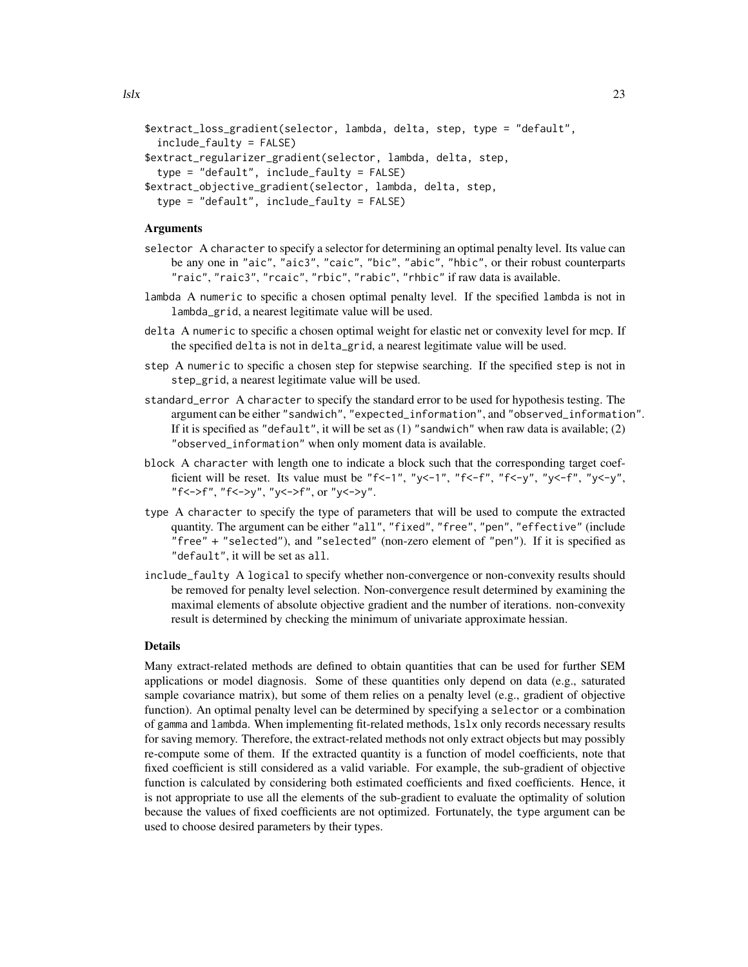```
$extract_loss_gradient(selector, lambda, delta, step, type = "default",
 include_faulty = FALSE)
$extract_regularizer_gradient(selector, lambda, delta, step,
 type = "default", include_faulty = FALSE)
$extract_objective_gradient(selector, lambda, delta, step,
 type = "default", include_faulty = FALSE)
```
#### **Arguments**

- selector A character to specify a selector for determining an optimal penalty level. Its value can be any one in "aic", "aic3", "caic", "bic", "abic", "hbic", or their robust counterparts "raic", "raic3", "rcaic", "rbic", "rabic", "rhbic" if raw data is available.
- lambda A numeric to specific a chosen optimal penalty level. If the specified lambda is not in lambda\_grid, a nearest legitimate value will be used.
- delta A numeric to specific a chosen optimal weight for elastic net or convexity level for mcp. If the specified delta is not in delta\_grid, a nearest legitimate value will be used.
- step A numeric to specific a chosen step for stepwise searching. If the specified step is not in step\_grid, a nearest legitimate value will be used.
- standard\_error A character to specify the standard error to be used for hypothesis testing. The argument can be either "sandwich", "expected\_information", and "observed\_information". If it is specified as "default", it will be set as  $(1)$  "sandwich" when raw data is available;  $(2)$ "observed\_information" when only moment data is available.
- block A character with length one to indicate a block such that the corresponding target coefficient will be reset. Its value must be "f<-1", "y<-1", "f<-f", "f<-y", "y<-f", "y<-y", "f<->f", "f<->y", "y<->f", or "y<->y".
- type A character to specify the type of parameters that will be used to compute the extracted quantity. The argument can be either "all", "fixed", "free", "pen", "effective" (include "free" + "selected"), and "selected" (non-zero element of "pen"). If it is specified as "default", it will be set as all.
- include\_faulty A logical to specify whether non-convergence or non-convexity results should be removed for penalty level selection. Non-convergence result determined by examining the maximal elements of absolute objective gradient and the number of iterations. non-convexity result is determined by checking the minimum of univariate approximate hessian.

#### **Details**

Many extract-related methods are defined to obtain quantities that can be used for further SEM applications or model diagnosis. Some of these quantities only depend on data (e.g., saturated sample covariance matrix), but some of them relies on a penalty level (e.g., gradient of objective function). An optimal penalty level can be determined by specifying a selector or a combination of gamma and lambda. When implementing fit-related methods, lslx only records necessary results for saving memory. Therefore, the extract-related methods not only extract objects but may possibly re-compute some of them. If the extracted quantity is a function of model coefficients, note that fixed coefficient is still considered as a valid variable. For example, the sub-gradient of objective function is calculated by considering both estimated coefficients and fixed coefficients. Hence, it is not appropriate to use all the elements of the sub-gradient to evaluate the optimality of solution because the values of fixed coefficients are not optimized. Fortunately, the type argument can be used to choose desired parameters by their types.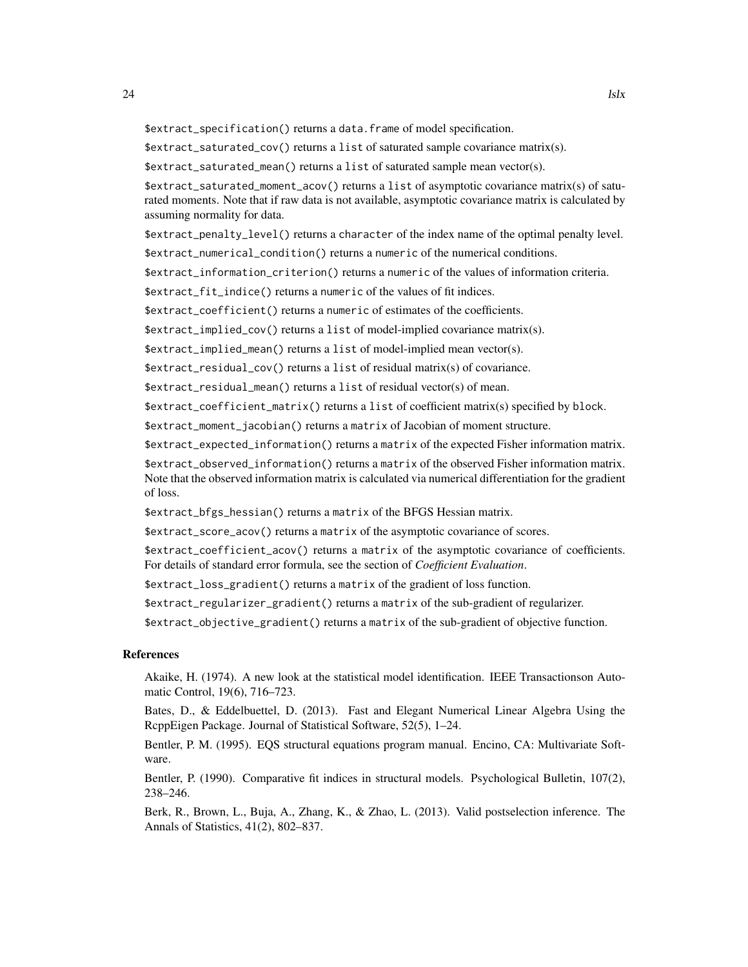\$extract\_specification() returns a data.frame of model specification.

\$extract\_saturated\_cov() returns a list of saturated sample covariance matrix(s).

\$extract\_saturated\_mean() returns a list of saturated sample mean vector(s).

\$extract\_saturated\_moment\_acov() returns a list of asymptotic covariance matrix(s) of saturated moments. Note that if raw data is not available, asymptotic covariance matrix is calculated by assuming normality for data.

\$extract\_penalty\_level() returns a character of the index name of the optimal penalty level.

\$extract\_numerical\_condition() returns a numeric of the numerical conditions.

\$extract\_information\_criterion() returns a numeric of the values of information criteria.

\$extract\_fit\_indice() returns a numeric of the values of fit indices.

\$extract\_coefficient() returns a numeric of estimates of the coefficients.

\$extract\_implied\_cov() returns a list of model-implied covariance matrix(s).

\$extract\_implied\_mean() returns a list of model-implied mean vector(s).

\$extract\_residual\_cov() returns a list of residual matrix(s) of covariance.

\$extract\_residual\_mean() returns a list of residual vector(s) of mean.

\$extract\_coefficient\_matrix() returns a list of coefficient matrix(s) specified by block.

\$extract\_moment\_jacobian() returns a matrix of Jacobian of moment structure.

\$extract\_expected\_information() returns a matrix of the expected Fisher information matrix.

\$extract\_observed\_information() returns a matrix of the observed Fisher information matrix. Note that the observed information matrix is calculated via numerical differentiation for the gradient of loss.

\$extract\_bfgs\_hessian() returns a matrix of the BFGS Hessian matrix.

\$extract\_score\_acov() returns a matrix of the asymptotic covariance of scores.

\$extract\_coefficient\_acov() returns a matrix of the asymptotic covariance of coefficients. For details of standard error formula, see the section of *Coefficient Evaluation*.

\$extract\_loss\_gradient() returns a matrix of the gradient of loss function.

\$extract\_regularizer\_gradient() returns a matrix of the sub-gradient of regularizer.

\$extract\_objective\_gradient() returns a matrix of the sub-gradient of objective function.

#### References

Akaike, H. (1974). A new look at the statistical model identification. IEEE Transactionson Automatic Control, 19(6), 716–723.

Bates, D., & Eddelbuettel, D. (2013). Fast and Elegant Numerical Linear Algebra Using the RcppEigen Package. Journal of Statistical Software, 52(5), 1–24.

Bentler, P. M. (1995). EQS structural equations program manual. Encino, CA: Multivariate Software.

Bentler, P. (1990). Comparative fit indices in structural models. Psychological Bulletin, 107(2), 238–246.

Berk, R., Brown, L., Buja, A., Zhang, K., & Zhao, L. (2013). Valid postselection inference. The Annals of Statistics, 41(2), 802–837.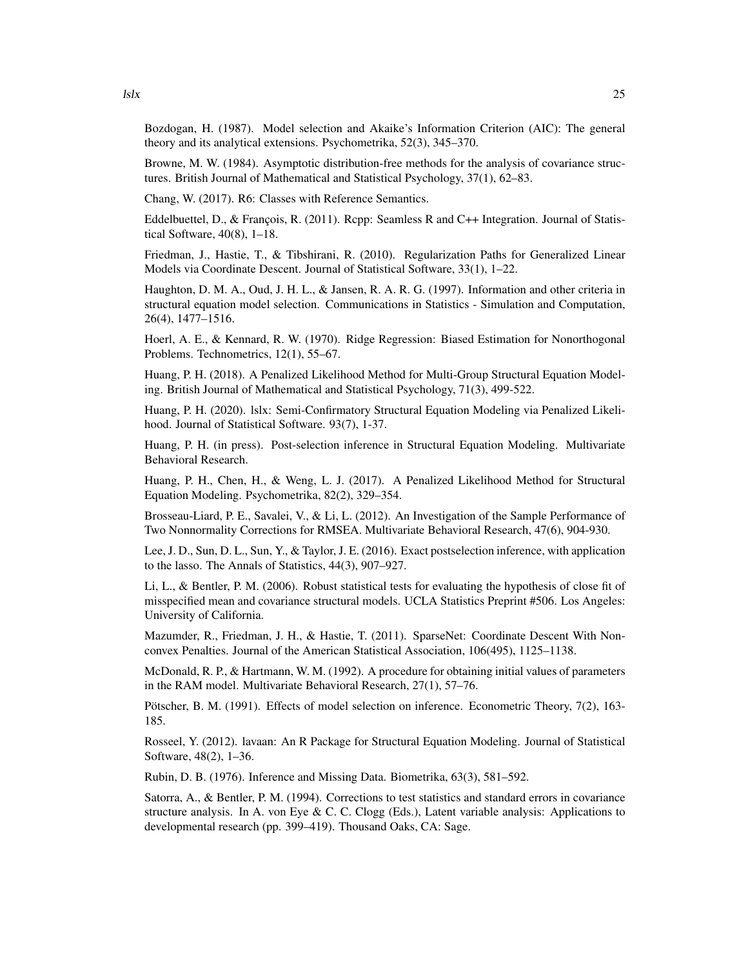Bozdogan, H. (1987). Model selection and Akaike's Information Criterion (AIC): The general theory and its analytical extensions. Psychometrika, 52(3), 345–370.

Browne, M. W. (1984). Asymptotic distribution-free methods for the analysis of covariance structures. British Journal of Mathematical and Statistical Psychology, 37(1), 62–83.

Chang, W. (2017). R6: Classes with Reference Semantics.

Eddelbuettel, D., & François, R. (2011). Rcpp: Seamless R and C++ Integration. Journal of Statistical Software, 40(8), 1–18.

Friedman, J., Hastie, T., & Tibshirani, R. (2010). Regularization Paths for Generalized Linear Models via Coordinate Descent. Journal of Statistical Software, 33(1), 1–22.

Haughton, D. M. A., Oud, J. H. L., & Jansen, R. A. R. G. (1997). Information and other criteria in structural equation model selection. Communications in Statistics - Simulation and Computation, 26(4), 1477–1516.

Hoerl, A. E., & Kennard, R. W. (1970). Ridge Regression: Biased Estimation for Nonorthogonal Problems. Technometrics, 12(1), 55–67.

Huang, P. H. (2018). A Penalized Likelihood Method for Multi-Group Structural Equation Modeling. British Journal of Mathematical and Statistical Psychology, 71(3), 499-522.

Huang, P. H. (2020). lslx: Semi-Confirmatory Structural Equation Modeling via Penalized Likelihood. Journal of Statistical Software. 93(7), 1-37.

Huang, P. H. (in press). Post-selection inference in Structural Equation Modeling. Multivariate Behavioral Research.

Huang, P. H., Chen, H., & Weng, L. J. (2017). A Penalized Likelihood Method for Structural Equation Modeling. Psychometrika, 82(2), 329–354.

Brosseau-Liard, P. E., Savalei, V., & Li, L. (2012). An Investigation of the Sample Performance of Two Nonnormality Corrections for RMSEA. Multivariate Behavioral Research, 47(6), 904-930.

Lee, J. D., Sun, D. L., Sun, Y., & Taylor, J. E. (2016). Exact postselection inference, with application to the lasso. The Annals of Statistics, 44(3), 907–927.

Li, L., & Bentler, P. M. (2006). Robust statistical tests for evaluating the hypothesis of close fit of misspecified mean and covariance structural models. UCLA Statistics Preprint #506. Los Angeles: University of California.

Mazumder, R., Friedman, J. H., & Hastie, T. (2011). SparseNet: Coordinate Descent With Nonconvex Penalties. Journal of the American Statistical Association, 106(495), 1125–1138.

McDonald, R. P., & Hartmann, W. M. (1992). A procedure for obtaining initial values of parameters in the RAM model. Multivariate Behavioral Research, 27(1), 57–76.

Pötscher, B. M. (1991). Effects of model selection on inference. Econometric Theory, 7(2), 163- 185.

Rosseel, Y. (2012). lavaan: An R Package for Structural Equation Modeling. Journal of Statistical Software, 48(2), 1–36.

Rubin, D. B. (1976). Inference and Missing Data. Biometrika, 63(3), 581–592.

Satorra, A., & Bentler, P. M. (1994). Corrections to test statistics and standard errors in covariance structure analysis. In A. von Eye & C. C. Clogg (Eds.), Latent variable analysis: Applications to developmental research (pp. 399–419). Thousand Oaks, CA: Sage.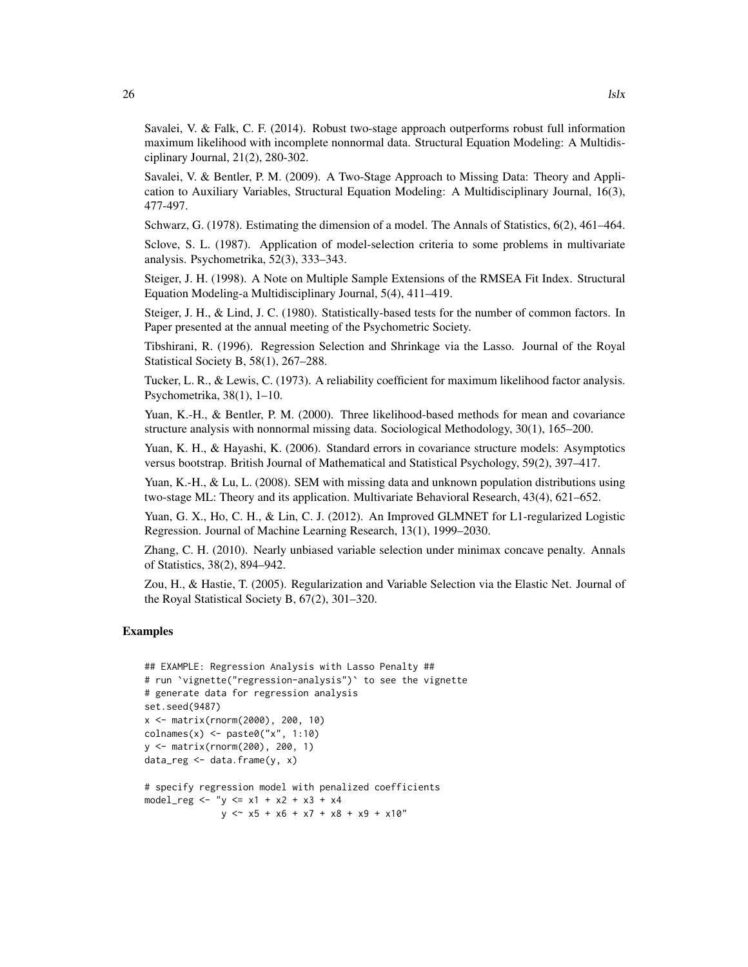Savalei, V. & Falk, C. F. (2014). Robust two-stage approach outperforms robust full information maximum likelihood with incomplete nonnormal data. Structural Equation Modeling: A Multidisciplinary Journal, 21(2), 280-302.

Savalei, V. & Bentler, P. M. (2009). A Two-Stage Approach to Missing Data: Theory and Application to Auxiliary Variables, Structural Equation Modeling: A Multidisciplinary Journal, 16(3), 477-497.

Schwarz, G. (1978). Estimating the dimension of a model. The Annals of Statistics, 6(2), 461–464.

Sclove, S. L. (1987). Application of model-selection criteria to some problems in multivariate analysis. Psychometrika, 52(3), 333–343.

Steiger, J. H. (1998). A Note on Multiple Sample Extensions of the RMSEA Fit Index. Structural Equation Modeling-a Multidisciplinary Journal, 5(4), 411–419.

Steiger, J. H., & Lind, J. C. (1980). Statistically-based tests for the number of common factors. In Paper presented at the annual meeting of the Psychometric Society.

Tibshirani, R. (1996). Regression Selection and Shrinkage via the Lasso. Journal of the Royal Statistical Society B, 58(1), 267–288.

Tucker, L. R., & Lewis, C. (1973). A reliability coefficient for maximum likelihood factor analysis. Psychometrika, 38(1), 1–10.

Yuan, K.-H., & Bentler, P. M. (2000). Three likelihood-based methods for mean and covariance structure analysis with nonnormal missing data. Sociological Methodology, 30(1), 165–200.

Yuan, K. H., & Hayashi, K. (2006). Standard errors in covariance structure models: Asymptotics versus bootstrap. British Journal of Mathematical and Statistical Psychology, 59(2), 397–417.

Yuan, K.-H., & Lu, L. (2008). SEM with missing data and unknown population distributions using two-stage ML: Theory and its application. Multivariate Behavioral Research, 43(4), 621–652.

Yuan, G. X., Ho, C. H., & Lin, C. J. (2012). An Improved GLMNET for L1-regularized Logistic Regression. Journal of Machine Learning Research, 13(1), 1999–2030.

Zhang, C. H. (2010). Nearly unbiased variable selection under minimax concave penalty. Annals of Statistics, 38(2), 894–942.

Zou, H., & Hastie, T. (2005). Regularization and Variable Selection via the Elastic Net. Journal of the Royal Statistical Society B, 67(2), 301–320.

#### Examples

```
## EXAMPLE: Regression Analysis with Lasso Penalty ##
# run `vignette("regression-analysis")` to see the vignette
# generate data for regression analysis
set.seed(9487)
x <- matrix(rnorm(2000), 200, 10)
\text{colnames}(x) \leq \text{past} \cdot \text{col}(\text{''x''}, 1:10)y <- matrix(rnorm(200), 200, 1)
data_{reg} < - data.frame(y, x)
# specify regression model with penalized coefficients
model_reg <- "y <= x1 + x2 + x3 + x4
               y \le x5 + x6 + x7 + x8 + x9 + x10"
```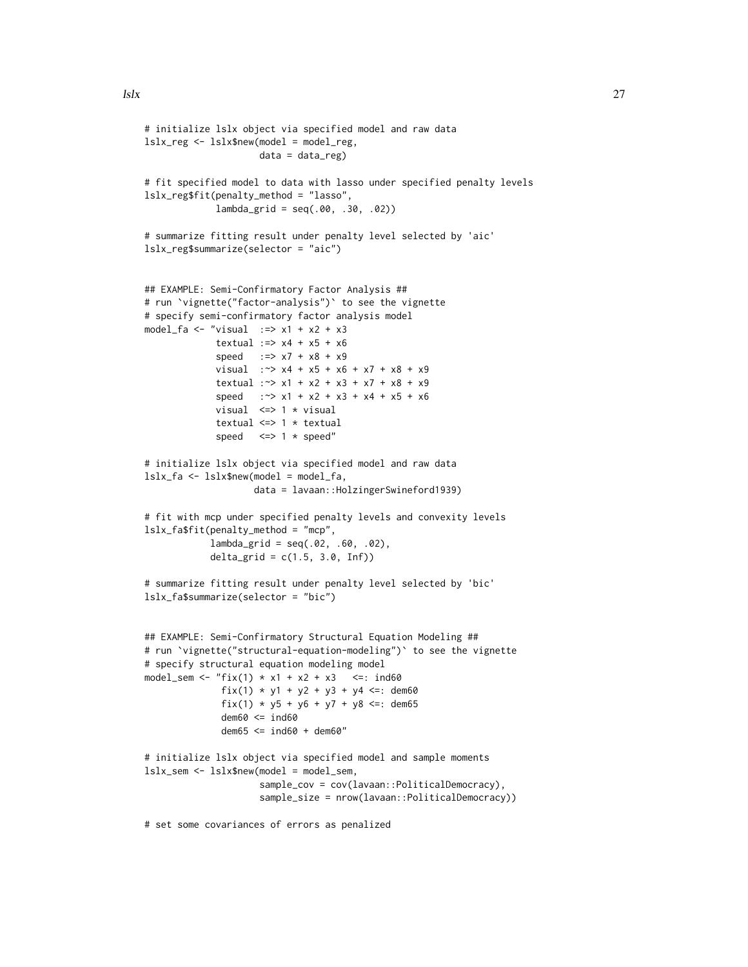```
# initialize lslx object via specified model and raw data
lslx_reg <- lslx$new(model = model_reg,
                     data = data_reg)
# fit specified model to data with lasso under specified penalty levels
lslx_reg$fit(penalty_method = "lasso",
             lambda_grid = seq(.00, .30, .02))
# summarize fitting result under penalty level selected by 'aic'
lslx_reg$summarize(selector = "aic")
## EXAMPLE: Semi-Confirmatory Factor Analysis ##
# run `vignette("factor-analysis")` to see the vignette
# specify semi-confirmatory factor analysis model
model_fa <- "visual :=> x1 + x2 + x3textual := \times \times 4 + \times 5 + \times 6speed :=> x7 + x8 + x9
             visual :~> x4 + x5 + x6 + x7 + x8 + x9
             textual :~> x1 + x2 + x3 + x7 + x8 + x9
             speed : ~> x1 + x2 + x3 + x4 + x5 + x6visual \leq 1 * visual
             textual <=> 1 * textual
             speed <=> 1 * speed"
# initialize lslx object via specified model and raw data
lslx_fa <- lslx$new(model = model_fa,
                    data = lavaan::HolzingerSwineford1939)
# fit with mcp under specified penalty levels and convexity levels
lslx_fa$fit(penalty_method = "mcp",
            lambda_{grid} = seq(.02, .60, .02),delta_grid = c(1.5, 3.0, Inf)# summarize fitting result under penalty level selected by 'bic'
lslx_fa$summarize(selector = "bic")
## EXAMPLE: Semi-Confirmatory Structural Equation Modeling ##
# run `vignette("structural-equation-modeling")` to see the vignette
# specify structural equation modeling model
model_sem <- "fix(1) * x1 + x2 + x3 <=: ind60
              fix(1) * y1 + y2 + y3 + y4 <=: dem60
              fix(1) * y5 + y6 + y7 + y8 <=: dem65
              dem60 \leq ind60dem65 <= ind60 + dem60"
# initialize lslx object via specified model and sample moments
lslx_sem <- lslx$new(model = model_sem,
                     sample_cov = cov(lavaan::PoliticalDemocracy),
                     sample_size = nrow(lavaan::PoliticalDemocracy))
```
# set some covariances of errors as penalized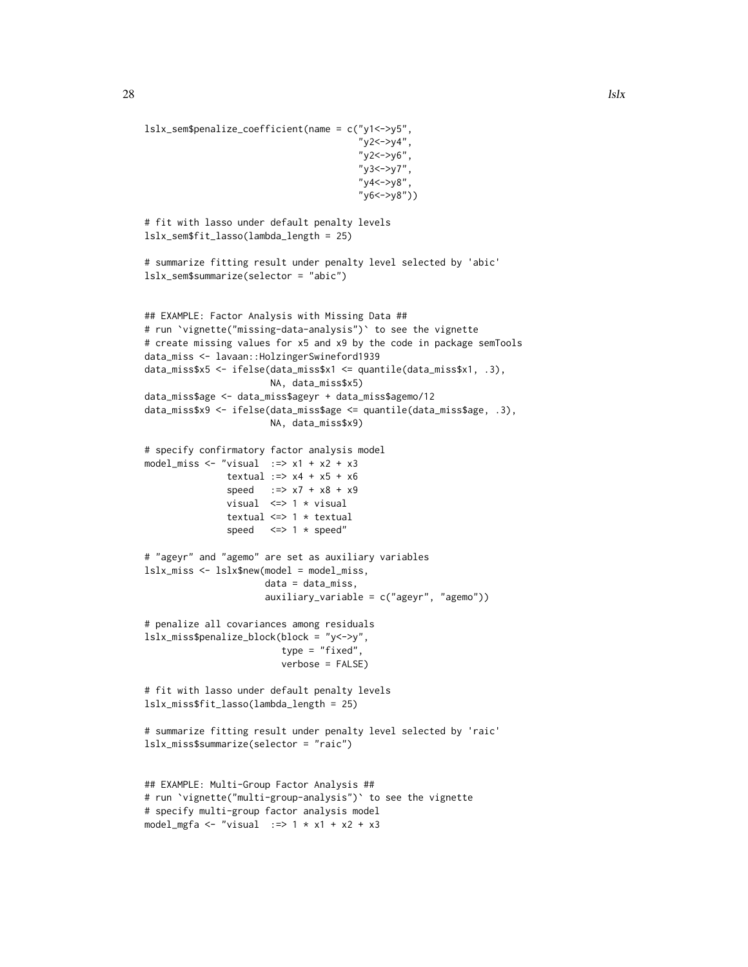```
lslx_sem$penalize_coefficient(name = c("y1<->y5",
                                        "y2 < -&gt; y4",
                                        "y2<->y6",
                                        "y3<->y7",
                                        "y4<->y8",
                                        "y6<->y8"))
# fit with lasso under default penalty levels
lslx_sem$fit_lasso(lambda_length = 25)
# summarize fitting result under penalty level selected by 'abic'
lslx_sem$summarize(selector = "abic")
## EXAMPLE: Factor Analysis with Missing Data ##
# run `vignette("missing-data-analysis")` to see the vignette
# create missing values for x5 and x9 by the code in package semTools
data_miss <- lavaan::HolzingerSwineford1939
data_miss$x5 <- ifelse(data_miss$x1 <= quantile(data_miss$x1, .3),
                       NA, data_miss$x5)
data_miss$age <- data_miss$ageyr + data_miss$agemo/12
data_miss$x9 <- ifelse(data_miss$age <= quantile(data_miss$age, .3),
                       NA, data_miss$x9)
# specify confirmatory factor analysis model
model_miss <- "visual :=> x1 + x2 + x3textual := \times 4 + x5 + x6speed :=> x7 + x8 + x9
               visual <=> 1 * visual
               textual <=> 1 * textual
               speed \leq > 1 \star speed"
# "ageyr" and "agemo" are set as auxiliary variables
lslx_miss <- lslx$new(model = model_miss,
                      data = data_miss,
                      auxiliary_variable = c("ageyr", "agemo"))
# penalize all covariances among residuals
lslx_miss$penalize_block(block = "y<->y",
                         type = "fixed",
                         verbose = FALSE)
# fit with lasso under default penalty levels
lslx_miss$fit_lasso(lambda_length = 25)
# summarize fitting result under penalty level selected by 'raic'
lslx_miss$summarize(selector = "raic")
## EXAMPLE: Multi-Group Factor Analysis ##
# run `vignette("multi-group-analysis")` to see the vignette
# specify multi-group factor analysis model
model_mgfa <- "visual :=> 1 * x1 + x2 + x3
```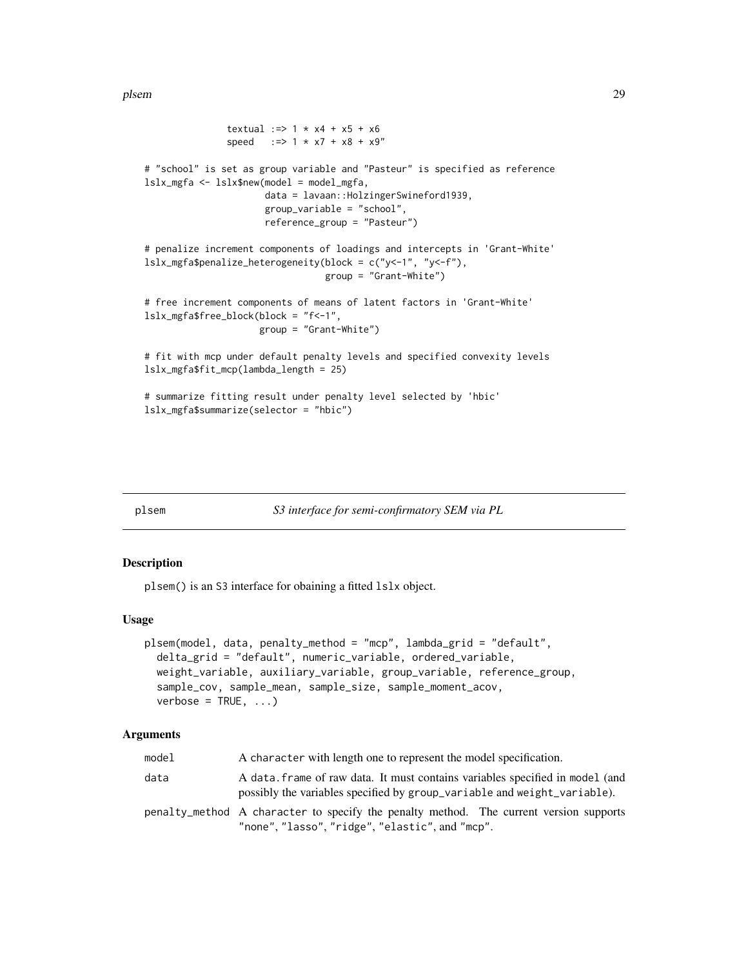<span id="page-28-0"></span>plsem 29

```
textual :=> 1 * x4 + x5 + x6speed :=> 1 * x7 + x8 + x9"
# "school" is set as group variable and "Pasteur" is specified as reference
lslx_mgfa <- lslx$new(model = model_mgfa,
                     data = lavaan::HolzingerSwineford1939,
                      group_variable = "school",
                      reference_group = "Pasteur")
# penalize increment components of loadings and intercepts in 'Grant-White'
lslx_mgfa$penalize_heterogeneity(block = c("y<-1", "y<-f"),
                                 group = "Grant-White")
# free increment components of means of latent factors in 'Grant-White'
lslx_mgfa$free_block(block = "f<-1",
                     group = "Grant-White")
# fit with mcp under default penalty levels and specified convexity levels
lslx_mgfa$fit_mcp(lambda_length = 25)
# summarize fitting result under penalty level selected by 'hbic'
lslx_mgfa$summarize(selector = "hbic")
```

```
plsem S3 interface for semi-confirmatory SEM via PL
```
#### Description

plsem() is an S3 interface for obaining a fitted lslx object.

#### Usage

```
plsem(model, data, penalty_method = "mcp", lambda_grid = "default",
  delta_grid = "default", numeric_variable, ordered_variable,
 weight_variable, auxiliary_variable, group_variable, reference_group,
  sample_cov, sample_mean, sample_size, sample_moment_acov,
 verbose = TRUE, ...)
```

| model | A character with length one to represent the model specification.                                                                                         |
|-------|-----------------------------------------------------------------------------------------------------------------------------------------------------------|
| data  | A data, frame of raw data. It must contains variables specified in model (and<br>possibly the variables specified by group_variable and weight_variable). |
|       | penalty_method A character to specify the penalty method. The current version supports<br>"none", "lasso", "ridge", "elastic", and "mcp".                 |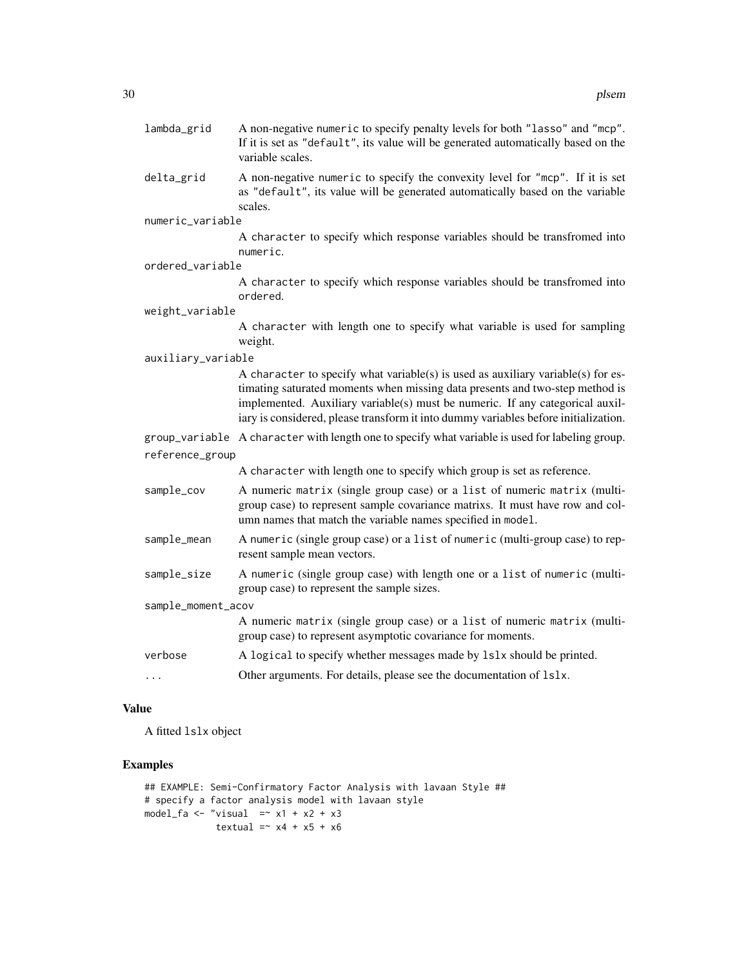| lambda_grid        | A non-negative numeric to specify penalty levels for both "lasso" and "mcp".<br>If it is set as "default", its value will be generated automatically based on the<br>variable scales.                                                                                                                                                    |
|--------------------|------------------------------------------------------------------------------------------------------------------------------------------------------------------------------------------------------------------------------------------------------------------------------------------------------------------------------------------|
| delta_grid         | A non-negative numeric to specify the convexity level for "mcp". If it is set<br>as "default", its value will be generated automatically based on the variable<br>scales.                                                                                                                                                                |
| numeric_variable   |                                                                                                                                                                                                                                                                                                                                          |
|                    | A character to specify which response variables should be transfromed into<br>numeric.                                                                                                                                                                                                                                                   |
| ordered_variable   |                                                                                                                                                                                                                                                                                                                                          |
|                    | A character to specify which response variables should be transfromed into<br>ordered.                                                                                                                                                                                                                                                   |
| weight_variable    |                                                                                                                                                                                                                                                                                                                                          |
|                    | A character with length one to specify what variable is used for sampling<br>weight.                                                                                                                                                                                                                                                     |
| auxiliary_variable |                                                                                                                                                                                                                                                                                                                                          |
|                    | A character to specify what variable(s) is used as auxiliary variable(s) for es-<br>timating saturated moments when missing data presents and two-step method is<br>implemented. Auxiliary variable(s) must be numeric. If any categorical auxil-<br>iary is considered, please transform it into dummy variables before initialization. |
|                    | group_variable A character with length one to specify what variable is used for labeling group.                                                                                                                                                                                                                                          |
| reference_group    |                                                                                                                                                                                                                                                                                                                                          |
|                    | A character with length one to specify which group is set as reference.                                                                                                                                                                                                                                                                  |
| sample_cov         | A numeric matrix (single group case) or a list of numeric matrix (multi-<br>group case) to represent sample covariance matrixs. It must have row and col-<br>umn names that match the variable names specified in model.                                                                                                                 |
| sample_mean        | A numeric (single group case) or a list of numeric (multi-group case) to rep-<br>resent sample mean vectors.                                                                                                                                                                                                                             |
| sample_size        | A numeric (single group case) with length one or a list of numeric (multi-<br>group case) to represent the sample sizes.                                                                                                                                                                                                                 |
| sample_moment_acov |                                                                                                                                                                                                                                                                                                                                          |
|                    | A numeric matrix (single group case) or a list of numeric matrix (multi-<br>group case) to represent asymptotic covariance for moments.                                                                                                                                                                                                  |
| verbose            | A logical to specify whether messages made by 1s1x should be printed.                                                                                                                                                                                                                                                                    |
| .                  | Other arguments. For details, please see the documentation of 1s1x.                                                                                                                                                                                                                                                                      |

# Value

A fitted lslx object

# Examples

```
## EXAMPLE: Semi-Confirmatory Factor Analysis with lavaan Style ##
# specify a factor analysis model with lavaan style
model_fa <- "visual =\frac{x}{x} x1 + x2 + x3
             textual = x4 + x5 + x6
```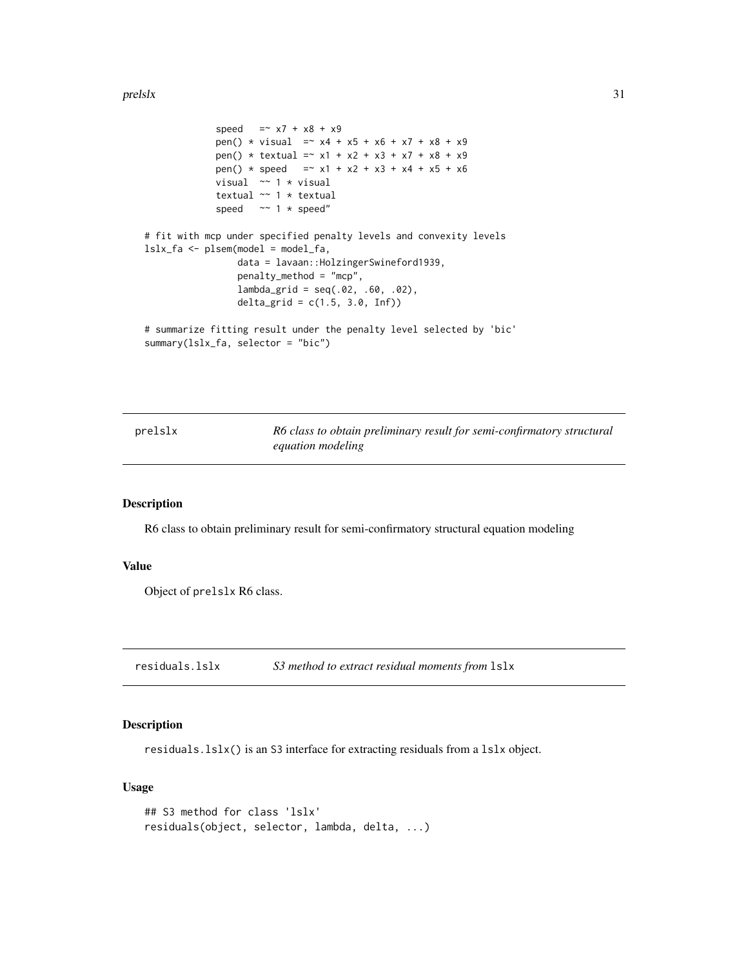#### <span id="page-30-0"></span>prelslx 31

```
speed = x7 + x8 + x9pen() * visual = x4 + x5 + x6 + x7 + x8 + x9pen() * textual = x1 + x2 + x3 + x7 + x8 + x9pen() * speed = x1 + x2 + x3 + x4 + x5 + x6visual ~~ 1 * visual
            textual ~~ 1 * textual
            speed ~~ 1 * speed"
# fit with mcp under specified penalty levels and convexity levels
lslx_fa <- plsem(model = model_fa,
                data = lavaan::HolzingerSwineford1939,
                penalty_method = "mcp",
                lambda_{grid} = seq(.02, .60, .02),delta_{grid} = c(1.5, 3.0, Inf))# summarize fitting result under the penalty level selected by 'bic'
summary(lslx_fa, selector = "bic")
```
prelslx *R6 class to obtain preliminary result for semi-confirmatory structural equation modeling*

#### Description

R6 class to obtain preliminary result for semi-confirmatory structural equation modeling

#### Value

Object of prelslx R6 class.

residuals.lslx *S3 method to extract residual moments from* lslx

#### Description

residuals.lslx() is an S3 interface for extracting residuals from a lslx object.

#### Usage

```
## S3 method for class 'lslx'
residuals(object, selector, lambda, delta, ...)
```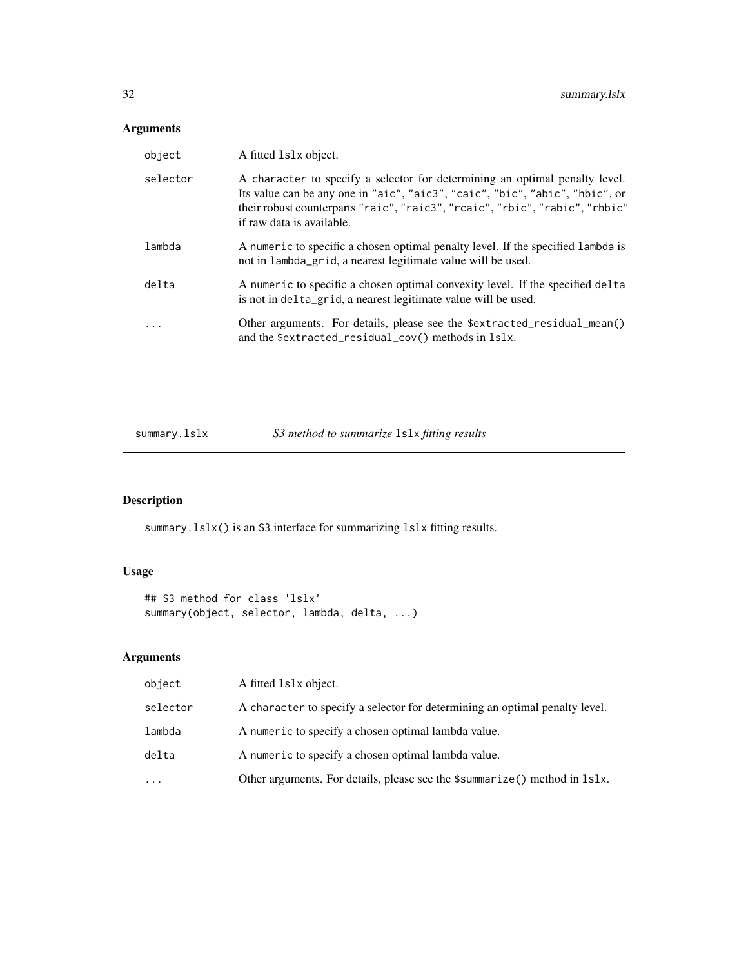# <span id="page-31-0"></span>Arguments

| object   | A fitted 1s1x object.                                                                                                                                                                                                                                                    |
|----------|--------------------------------------------------------------------------------------------------------------------------------------------------------------------------------------------------------------------------------------------------------------------------|
| selector | A character to specify a selector for determining an optimal penalty level.<br>Its value can be any one in "aic", "aic3", "caic", "bic", "abic", "hbic", or<br>their robust counterparts "raic", "raic3", "rcaic", "rbic", "rabic", "rhbic"<br>if raw data is available. |
| lambda   | A numeric to specific a chosen optimal penalty level. If the specified lambda is<br>not in lambda_grid, a nearest legitimate value will be used.                                                                                                                         |
| delta    | A numeric to specific a chosen optimal convexity level. If the specified delta<br>is not in delta_grid, a nearest legitimate value will be used.                                                                                                                         |
| $\cdot$  | Other arguments. For details, please see the \$extracted_residual_mean()<br>and the \$extracted_residual_cov() methods in 1s1x.                                                                                                                                          |

| S3 method to summarize 1s1x fitting results<br>summary.lslx |  |
|-------------------------------------------------------------|--|
|-------------------------------------------------------------|--|

# Description

summary.lslx() is an S3 interface for summarizing lslx fitting results.

# Usage

```
## S3 method for class 'lslx'
summary(object, selector, lambda, delta, ...)
```

| object   | A fitted 1s1x object.                                                                         |
|----------|-----------------------------------------------------------------------------------------------|
| selector | A character to specify a selector for determining an optimal penalty level.                   |
| lambda   | A numeric to specify a chosen optimal lambda value.                                           |
| delta    | A numeric to specify a chosen optimal lambda value.                                           |
| .        | Other arguments. For details, please see the $\text{\$summarize()}$ method in $\text{lslx}$ . |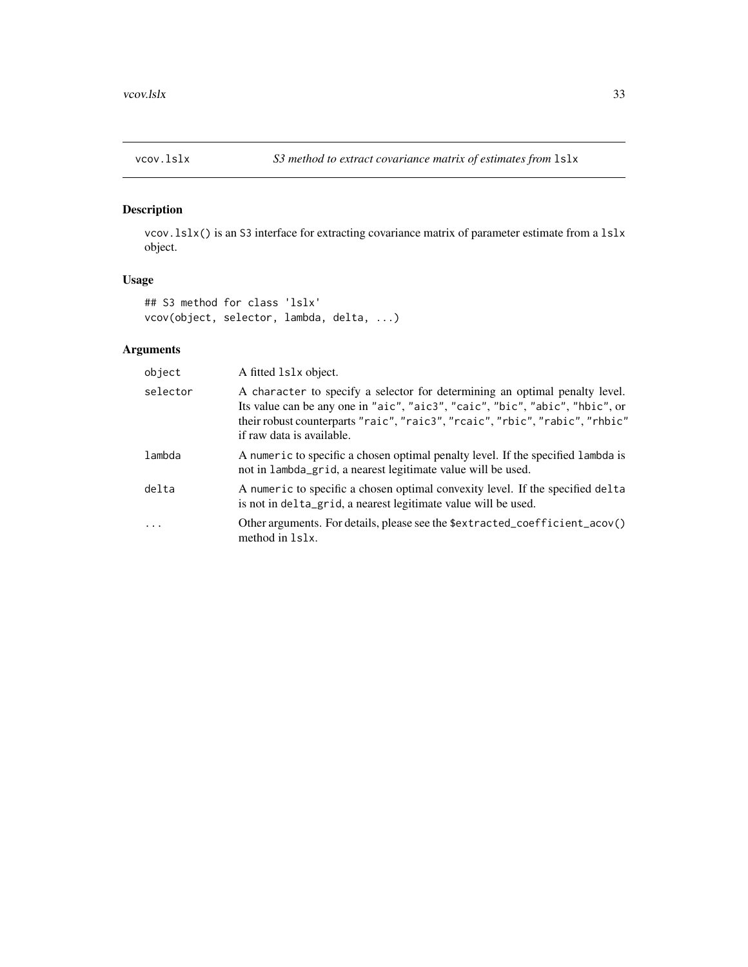<span id="page-32-0"></span>

#### Description

vcov.lslx() is an S3 interface for extracting covariance matrix of parameter estimate from a lslx object.

### Usage

```
## S3 method for class 'lslx'
vcov(object, selector, lambda, delta, ...)
```

| object   | A fitted 1s1x object.                                                                                                                                                                                                                                                    |
|----------|--------------------------------------------------------------------------------------------------------------------------------------------------------------------------------------------------------------------------------------------------------------------------|
| selector | A character to specify a selector for determining an optimal penalty level.<br>Its value can be any one in "aic", "aic3", "caic", "bic", "abic", "hbic", or<br>their robust counterparts "raic", "raic3", "rcaic", "rbic", "rabic", "rhbic"<br>if raw data is available. |
| lambda   | A numeric to specific a chosen optimal penalty level. If the specified lambda is<br>not in lambda_grid, a nearest legitimate value will be used.                                                                                                                         |
| delta    | A numeric to specific a chosen optimal convexity level. If the specified delta<br>is not in delta_grid, a nearest legitimate value will be used.                                                                                                                         |
| $\ddots$ | Other arguments. For details, please see the \$extracted_coefficient_acov()<br>method in 1s1x.                                                                                                                                                                           |